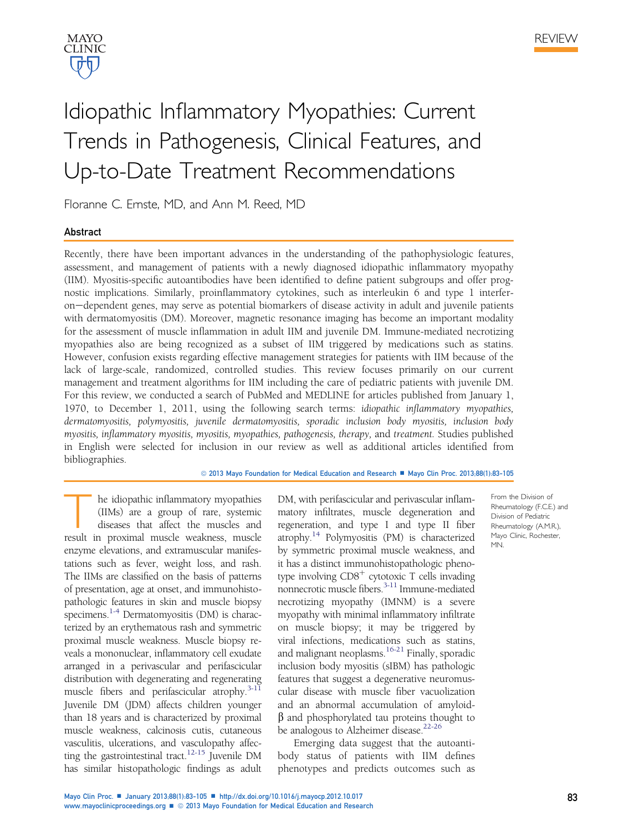



# Idiopathic Inflammatory Myopathies: Current Trends in Pathogenesis, Clinical Features, and Up-to-Date Treatment Recommendations

Floranne C. Ernste, MD, and Ann M. Reed, MD

# Abstract

Recently, there have been important advances in the understanding of the pathophysiologic features, assessment, and management of patients with a newly diagnosed idiopathic inflammatory myopathy (IIM). Myositis-specific autoantibodies have been identified to define patient subgroups and offer prognostic implications. Similarly, proinflammatory cytokines, such as interleukin 6 and type 1 interferon-dependent genes, may serve as potential biomarkers of disease activity in adult and juvenile patients with dermatomyositis (DM). Moreover, magnetic resonance imaging has become an important modality for the assessment of muscle inflammation in adult IIM and juvenile DM. Immune-mediated necrotizing myopathies also are being recognized as a subset of IIM triggered by medications such as statins. However, confusion exists regarding effective management strategies for patients with IIM because of the lack of large-scale, randomized, controlled studies. This review focuses primarily on our current management and treatment algorithms for IIM including the care of pediatric patients with juvenile DM. For this review, we conducted a search of PubMed and MEDLINE for articles published from January 1, 1970, to December 1, 2011, using the following search terms: idiopathic inflammatory myopathies, dermatomyositis, polymyositis, juvenile dermatomyositis, sporadic inclusion body myositis, inclusion body myositis, inflammatory myositis, myositis, myopathies, pathogenesis, therapy, and treatment. Studies published in English were selected for inclusion in our review as well as additional articles identified from bibliographies.

© 2013 Mayo Foundation for Medical Education and Research ■ Mayo Clin Proc. 2013;88(1):83-105

he idiopathic inflammatory myopathies (IIMs) are a group of rare, systemic diseases that affect the muscles and result in proximal muscle weakness, muscle enzyme elevations, and extramuscular manifestations such as fever, weight loss, and rash. The IIMs are classified on the basis of patterns of presentation, age at onset, and immunohistopathologic features in skin and muscle biopsy specimens.<sup>[1-4](#page-17-0)</sup> Dermatomyositis (DM) is characterized by an erythematous rash and symmetric proximal muscle weakness. Muscle biopsy reveals a mononuclear, inflammatory cell exudate arranged in a perivascular and perifascicular distribution with degenerating and regenerating muscle fibers and perifascicular atrophy.<sup>3-11</sup> Juvenile DM (JDM) affects children younger than 18 years and is characterized by proximal muscle weakness, calcinosis cutis, cutaneous vasculitis, ulcerations, and vasculopathy affecting the gastrointestinal tract.<sup>12-15</sup> Juvenile DM has similar histopathologic findings as adult DM, with perifascicular and perivascular inflammatory infiltrates, muscle degeneration and regeneration, and type I and type II fiber atrophy[.14](#page-17-0) Polymyositis (PM) is characterized by symmetric proximal muscle weakness, and it has a distinct immunohistopathologic phenotype involving  $CDS<sup>+</sup>$  cytotoxic T cells invading nonnecrotic muscle fibers.<sup>[3-11](#page-17-0)</sup> Immune-mediated necrotizing myopathy (IMNM) is a severe myopathy with minimal inflammatory infiltrate on muscle biopsy; it may be triggered by viral infections, medications such as statins, and malignant neoplasms.<sup>16-21</sup> Finally, sporadic inclusion body myositis (sIBM) has pathologic features that suggest a degenerative neuromuscular disease with muscle fiber vacuolization and an abnormal accumulation of amyloid- $\beta$  and phosphorylated tau proteins thought to be analogous to Alzheimer disease.<sup>22-26</sup>

Emerging data suggest that the autoantibody status of patients with IIM defines phenotypes and predicts outcomes such as

From the Division of Rheumatology (F.C.E.) and Division of Pediatric Rheumatology (A.M.R.), Mayo Clinic, Rochester, MN.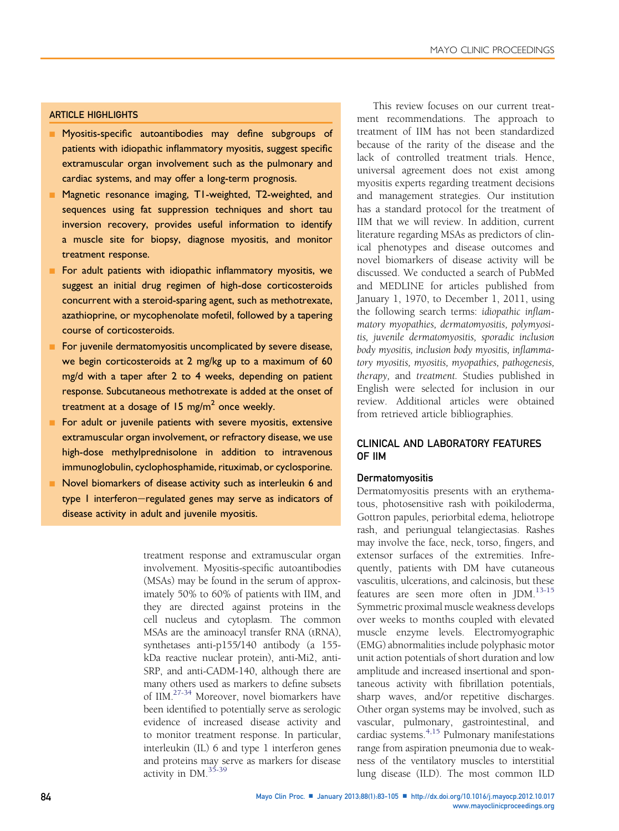## ARTICLE HIGHLIGHTS

- Myositis-specific autoantibodies may define subgroups of patients with idiopathic inflammatory myositis, suggest specific extramuscular organ involvement such as the pulmonary and cardiac systems, and may offer a long-term prognosis.
- Magnetic resonance imaging, T1-weighted, T2-weighted, and sequences using fat suppression techniques and short tau inversion recovery, provides useful information to identify a muscle site for biopsy, diagnose myositis, and monitor treatment response.
- **n** For adult patients with idiopathic inflammatory myositis, we suggest an initial drug regimen of high-dose corticosteroids concurrent with a steroid-sparing agent, such as methotrexate, azathioprine, or mycophenolate mofetil, followed by a tapering course of corticosteroids.
- For juvenile dermatomyositis uncomplicated by severe disease, we begin corticosteroids at 2 mg/kg up to a maximum of 60 mg/d with a taper after 2 to 4 weeks, depending on patient response. Subcutaneous methotrexate is added at the onset of treatment at a dosage of 15 mg/m<sup>2</sup> once weekly.
- For adult or juvenile patients with severe myositis, extensive extramuscular organ involvement, or refractory disease, we use high-dose methylprednisolone in addition to intravenous immunoglobulin, cyclophosphamide, rituximab, or cyclosporine.
- Novel biomarkers of disease activity such as interleukin 6 and type I interferon-regulated genes may serve as indicators of disease activity in adult and juvenile myositis.

treatment response and extramuscular organ involvement. Myositis-specific autoantibodies (MSAs) may be found in the serum of approximately 50% to 60% of patients with IIM, and they are directed against proteins in the cell nucleus and cytoplasm. The common MSAs are the aminoacyl transfer RNA (tRNA), synthetases anti-p155/140 antibody (a 155 kDa reactive nuclear protein), anti-Mi2, anti-SRP, and anti-CADM-140, although there are many others used as markers to define subsets of IIM[.27-34](#page-17-0) Moreover, novel biomarkers have been identified to potentially serve as serologic evidence of increased disease activity and to monitor treatment response. In particular, interleukin (IL) 6 and type 1 interferon genes and proteins may serve as markers for disease activity in DM.[35-39](#page-18-0)

This review focuses on our current treatment recommendations. The approach to treatment of IIM has not been standardized because of the rarity of the disease and the lack of controlled treatment trials. Hence, universal agreement does not exist among myositis experts regarding treatment decisions and management strategies. Our institution has a standard protocol for the treatment of IIM that we will review. In addition, current literature regarding MSAs as predictors of clinical phenotypes and disease outcomes and novel biomarkers of disease activity will be discussed. We conducted a search of PubMed and MEDLINE for articles published from January 1, 1970, to December 1, 2011, using the following search terms: idiopathic inflammatory myopathies, dermatomyositis, polymyositis, juvenile dermatomyositis, sporadic inclusion body myositis, inclusion body myositis, inflammatory myositis, myositis, myopathies, pathogenesis, therapy, and treatment. Studies published in English were selected for inclusion in our review. Additional articles were obtained from retrieved article bibliographies.

# CLINICAL AND LABORATORY FEATURES OF IIM

## **Dermatomyositis**

Dermatomyositis presents with an erythematous, photosensitive rash with poikiloderma, Gottron papules, periorbital edema, heliotrope rash, and periungual telangiectasias. Rashes may involve the face, neck, torso, fingers, and extensor surfaces of the extremities. Infrequently, patients with DM have cutaneous vasculitis, ulcerations, and calcinosis, but these features are seen more often in JDM.[13-15](#page-17-0) Symmetric proximal muscle weakness develops over weeks to months coupled with elevated muscle enzyme levels. Electromyographic (EMG) abnormalities include polyphasic motor unit action potentials of short duration and low amplitude and increased insertional and spontaneous activity with fibrillation potentials, sharp waves, and/or repetitive discharges. Other organ systems may be involved, such as vascular, pulmonary, gastrointestinal, and cardiac systems.[4,15](#page-17-0) Pulmonary manifestations range from aspiration pneumonia due to weakness of the ventilatory muscles to interstitial lung disease (ILD). The most common ILD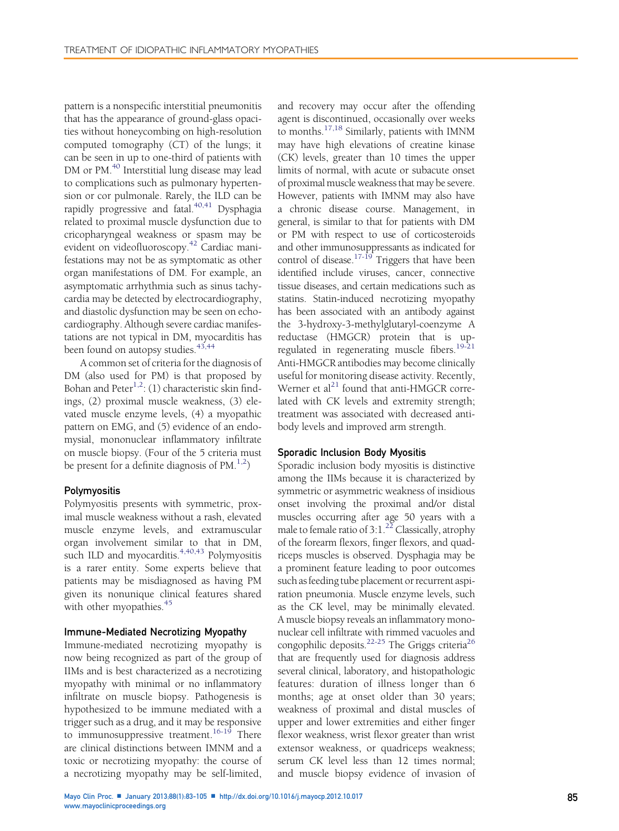pattern is a nonspecific interstitial pneumonitis that has the appearance of ground-glass opacities without honeycombing on high-resolution computed tomography (CT) of the lungs; it can be seen in up to one-third of patients with DM or PM.<sup>40</sup> Interstitial lung disease may lead to complications such as pulmonary hypertension or cor pulmonale. Rarely, the ILD can be rapidly progressive and fatal. $40,41$  Dysphagia related to proximal muscle dysfunction due to cricopharyngeal weakness or spasm may be evident on videofluoroscopy.<sup>[42](#page-18-0)</sup> Cardiac manifestations may not be as symptomatic as other organ manifestations of DM. For example, an asymptomatic arrhythmia such as sinus tachycardia may be detected by electrocardiography, and diastolic dysfunction may be seen on echocardiography. Although severe cardiac manifestations are not typical in DM, myocarditis has been found on autopsy studies. $43,44$ 

A common set of criteria for the diagnosis of DM (also used for PM) is that proposed by Bohan and Peter<sup>[1,2](#page-17-0)</sup>: (1) characteristic skin findings, (2) proximal muscle weakness, (3) elevated muscle enzyme levels, (4) a myopathic pattern on EMG, and (5) evidence of an endomysial, mononuclear inflammatory infiltrate on muscle biopsy. (Four of the 5 criteria must be present for a definite diagnosis of  $PM^{1,2}$ )

#### Polymyositis

Polymyositis presents with symmetric, proximal muscle weakness without a rash, elevated muscle enzyme levels, and extramuscular organ involvement similar to that in DM, such ILD and myocarditis. $4,40,43$  Polymyositis is a rarer entity. Some experts believe that patients may be misdiagnosed as having PM given its nonunique clinical features shared with other myopathies.<sup>[45](#page-18-0)</sup>

## Immune-Mediated Necrotizing Myopathy

Immune-mediated necrotizing myopathy is now being recognized as part of the group of IIMs and is best characterized as a necrotizing myopathy with minimal or no inflammatory infiltrate on muscle biopsy. Pathogenesis is hypothesized to be immune mediated with a trigger such as a drug, and it may be responsive to immunosuppressive treatment.<sup>[16-19](#page-17-0)</sup> There are clinical distinctions between IMNM and a toxic or necrotizing myopathy: the course of a necrotizing myopathy may be self-limited,

and recovery may occur after the offending agent is discontinued, occasionally over weeks to months.[17,18](#page-17-0) Similarly, patients with IMNM may have high elevations of creatine kinase (CK) levels, greater than 10 times the upper limits of normal, with acute or subacute onset of proximal muscle weakness that may be severe. However, patients with IMNM may also have a chronic disease course. Management, in general, is similar to that for patients with DM or PM with respect to use of corticosteroids and other immunosuppressants as indicated for control of disease.<sup>17-19</sup> Triggers that have been identified include viruses, cancer, connective tissue diseases, and certain medications such as statins. Statin-induced necrotizing myopathy has been associated with an antibody against the 3-hydroxy-3-methylglutaryl-coenzyme A reductase (HMGCR) protein that is up-regulated in regenerating muscle fibers.<sup>[19-21](#page-17-0)</sup> Anti-HMGCR antibodies may become clinically useful for monitoring disease activity. Recently, Werner et al<sup>[21](#page-17-0)</sup> found that anti-HMGCR correlated with CK levels and extremity strength; treatment was associated with decreased antibody levels and improved arm strength.

#### Sporadic Inclusion Body Myositis

Sporadic inclusion body myositis is distinctive among the IIMs because it is characterized by symmetric or asymmetric weakness of insidious onset involving the proximal and/or distal muscles occurring after age 50 years with a male to female ratio of  $3:1.^{22}$  $3:1.^{22}$  $3:1.^{22}$  Classically, atrophy of the forearm flexors, finger flexors, and quadriceps muscles is observed. Dysphagia may be a prominent feature leading to poor outcomes such as feeding tube placement or recurrent aspiration pneumonia. Muscle enzyme levels, such as the CK level, may be minimally elevated. A muscle biopsy reveals an inflammatory mononuclear cell infiltrate with rimmed vacuoles and congophilic deposits.<sup>22-25</sup> The Griggs criteria<sup>[26](#page-17-0)</sup> that are frequently used for diagnosis address several clinical, laboratory, and histopathologic features: duration of illness longer than 6 months; age at onset older than 30 years; weakness of proximal and distal muscles of upper and lower extremities and either finger flexor weakness, wrist flexor greater than wrist extensor weakness, or quadriceps weakness; serum CK level less than 12 times normal; and muscle biopsy evidence of invasion of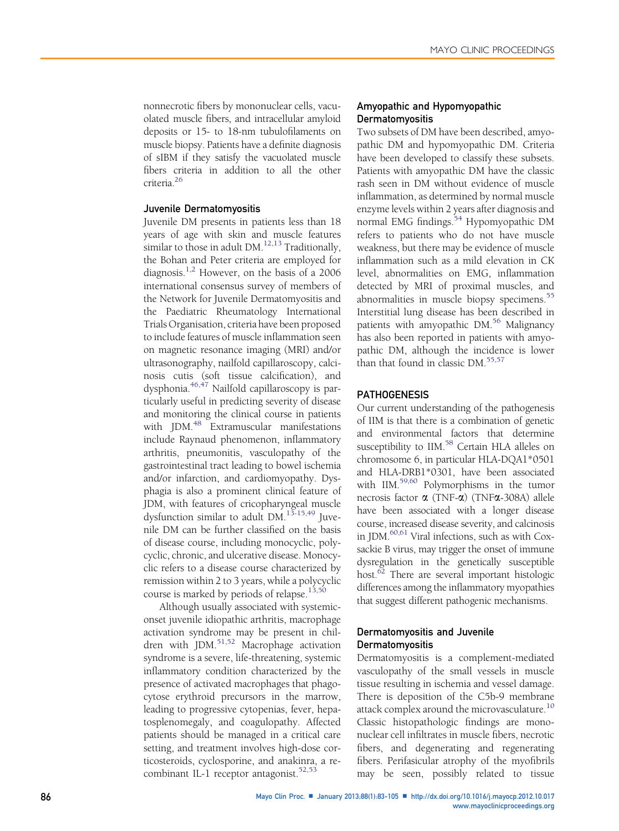nonnecrotic fibers by mononuclear cells, vacuolated muscle fibers, and intracellular amyloid deposits or 15- to 18-nm tubulofilaments on muscle biopsy. Patients have a definite diagnosis of sIBM if they satisfy the vacuolated muscle fibers criteria in addition to all the other criteria[.26](#page-17-0)

## Juvenile Dermatomyositis

Juvenile DM presents in patients less than 18 years of age with skin and muscle features similar to those in adult  $DM.<sup>12,13</sup>$  Traditionally, the Bohan and Peter criteria are employed for diagnosis.[1,2](#page-17-0) However, on the basis of a 2006 international consensus survey of members of the Network for Juvenile Dermatomyositis and the Paediatric Rheumatology International Trials Organisation, criteria have been proposed to include features of muscle inflammation seen on magnetic resonance imaging (MRI) and/or ultrasonography, nailfold capillaroscopy, calcinosis cutis (soft tissue calcification), and dysphonia[.46,47](#page-18-0) Nailfold capillaroscopy is particularly useful in predicting severity of disease and monitoring the clinical course in patients with JDM.<sup>[48](#page-18-0)</sup> Extramuscular manifestations include Raynaud phenomenon, inflammatory arthritis, pneumonitis, vasculopathy of the gastrointestinal tract leading to bowel ischemia and/or infarction, and cardiomyopathy. Dysphagia is also a prominent clinical feature of JDM, with features of cricopharyngeal muscle dysfunction similar to adult DM.<sup>[13-15,49](#page-17-0)</sup> Juvenile DM can be further classified on the basis of disease course, including monocyclic, polycyclic, chronic, and ulcerative disease. Monocyclic refers to a disease course characterized by remission within 2 to 3 years, while a polycyclic course is marked by periods of relapse.<sup>[13,50](#page-17-0)</sup>

Although usually associated with systemiconset juvenile idiopathic arthritis, macrophage activation syndrome may be present in children with JDM.[51,52](#page-18-0) Macrophage activation syndrome is a severe, life-threatening, systemic inflammatory condition characterized by the presence of activated macrophages that phagocytose erythroid precursors in the marrow, leading to progressive cytopenias, fever, hepatosplenomegaly, and coagulopathy. Affected patients should be managed in a critical care setting, and treatment involves high-dose corticosteroids, cyclosporine, and anakinra, a recombinant IL-1 receptor antagonist. $52,53$ 

## Amyopathic and Hypomyopathic Dermatomyositis

Two subsets of DM have been described, amyopathic DM and hypomyopathic DM. Criteria have been developed to classify these subsets. Patients with amyopathic DM have the classic rash seen in DM without evidence of muscle inflammation, as determined by normal muscle enzyme levels within 2 years after diagnosis and normal EMG findings.<sup>[54](#page-18-0)</sup> Hypomyopathic DM refers to patients who do not have muscle weakness, but there may be evidence of muscle inflammation such as a mild elevation in CK level, abnormalities on EMG, inflammation detected by MRI of proximal muscles, and abnormalities in muscle biopsy specimens.<sup>[55](#page-18-0)</sup> Interstitial lung disease has been described in patients with amyopathic DM.<sup>[56](#page-18-0)</sup> Malignancy has also been reported in patients with amyopathic DM, although the incidence is lower than that found in classic DM.<sup>[55,57](#page-18-0)</sup>

#### **PATHOGENESIS**

Our current understanding of the pathogenesis of IIM is that there is a combination of genetic and environmental factors that determine susceptibility to IIM.<sup>58</sup> Certain HLA alleles on chromosome 6, in particular HLA-DQA1\*0501 and HLA-DRB1\*0301, have been associated with IIM.<sup>59,60</sup> Polymorphisms in the tumor necrosis factor  $\alpha$  (TNF- $\alpha$ ) (TNF $\alpha$ -308A) allele have been associated with a longer disease course, increased disease severity, and calcinosis in JDM[.60,61](#page-18-0) Viral infections, such as with Coxsackie B virus, may trigger the onset of immune dysregulation in the genetically susceptible host.<sup>62</sup> There are several important histologic differences among the inflammatory myopathies that suggest different pathogenic mechanisms.

## Dermatomyositis and Juvenile Dermatomyositis

Dermatomyositis is a complement-mediated vasculopathy of the small vessels in muscle tissue resulting in ischemia and vessel damage. There is deposition of the C5b-9 membrane attack complex around the microvasculature.<sup>[10](#page-17-0)</sup> Classic histopathologic findings are mononuclear cell infiltrates in muscle fibers, necrotic fibers, and degenerating and regenerating fibers. Perifasicular atrophy of the myofibrils may be seen, possibly related to tissue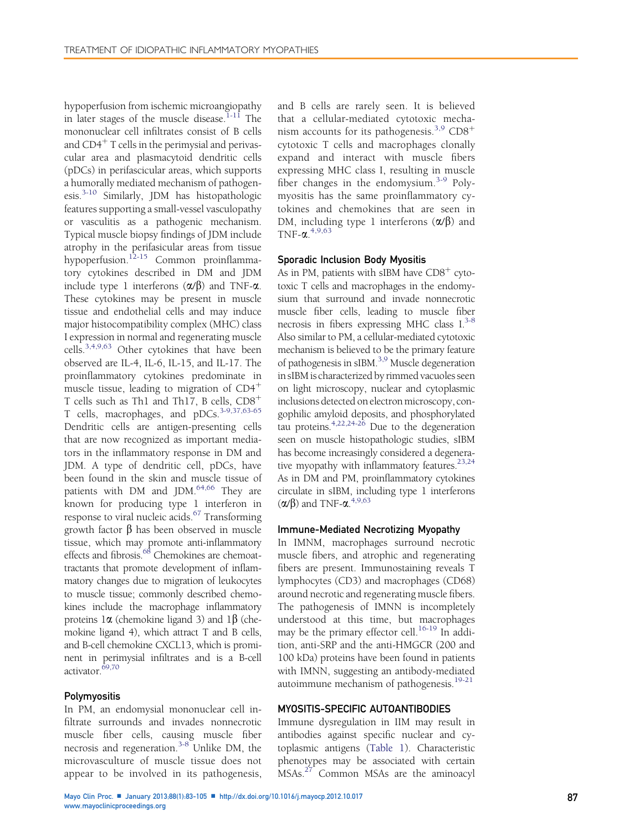hypoperfusion from ischemic microangiopathy in later stages of the muscle disease.<sup>[1-11](#page-17-0)</sup> The mononuclear cell infiltrates consist of B cells and  $CD4<sup>+</sup>$  T cells in the perimysial and perivascular area and plasmacytoid dendritic cells (pDCs) in perifascicular areas, which supports a humorally mediated mechanism of pathogen-esis.<sup>[3-10](#page-17-0)</sup> Similarly, JDM has histopathologic features supporting a small-vessel vasculopathy or vasculitis as a pathogenic mechanism. Typical muscle biopsy findings of JDM include atrophy in the perifasicular areas from tissue hypoperfusion.[12-15](#page-17-0) Common proinflammatory cytokines described in DM and JDM include type 1 interferons  $(\alpha/\beta)$  and TNF- $\alpha$ . These cytokines may be present in muscle tissue and endothelial cells and may induce major histocompatibility complex (MHC) class I expression in normal and regenerating muscle cells.[3,4,9,63](#page-17-0) Other cytokines that have been observed are IL-4, IL-6, IL-15, and IL-17. The proinflammatory cytokines predominate in muscle tissue, leading to migration of  $CD4^+$ T cells such as Th1 and Th17, B cells,  $CD8<sup>+</sup>$ T cells, macrophages, and pDCs.<sup>[3-9,37,63-65](#page-17-0)</sup> Dendritic cells are antigen-presenting cells that are now recognized as important mediators in the inflammatory response in DM and JDM. A type of dendritic cell, pDCs, have been found in the skin and muscle tissue of patients with DM and JDM.[64,66](#page-18-0) They are known for producing type 1 interferon in response to viral nucleic acids.[67](#page-19-0) Transforming growth factor  $\beta$  has been observed in muscle tissue, which may promote anti-inflammatory effects and fibrosis.<sup>68</sup> Chemokines are chemoattractants that promote development of inflammatory changes due to migration of leukocytes to muscle tissue; commonly described chemokines include the macrophage inflammatory proteins  $1\alpha$  (chemokine ligand 3) and  $1\beta$  (chemokine ligand 4), which attract T and B cells, and B-cell chemokine CXCL13, which is prominent in perimysial infiltrates and is a B-cell activator.[69,70](#page-19-0)

## Polymyositis

In PM, an endomysial mononuclear cell infiltrate surrounds and invades nonnecrotic muscle fiber cells, causing muscle fiber necrosis and regeneration.<sup>[3-8](#page-17-0)</sup> Unlike DM, the microvasculture of muscle tissue does not appear to be involved in its pathogenesis,

and B cells are rarely seen. It is believed that a cellular-mediated cytotoxic mecha-nism accounts for its pathogenesis.<sup>[3,9](#page-17-0)</sup> CD8<sup>+</sup> cytotoxic T cells and macrophages clonally expand and interact with muscle fibers expressing MHC class I, resulting in muscle fiber changes in the endomysium.<sup>[3-9](#page-17-0)</sup> Polymyositis has the same proinflammatory cytokines and chemokines that are seen in DM, including type 1 interferons  $(\alpha/\beta)$  and TNF- $\alpha$ <sup>[4,9,63](#page-17-0)</sup>

#### Sporadic Inclusion Body Myositis

As in PM, patients with sIBM have  $CD8<sup>+</sup>$  cytotoxic T cells and macrophages in the endomysium that surround and invade nonnecrotic muscle fiber cells, leading to muscle fiber necrosis in fibers expressing MHC class  $I^{3-8}$  $I^{3-8}$  $I^{3-8}$ . Also similar to PM, a cellular-mediated cytotoxic mechanism is believed to be the primary feature of pathogenesis in sIBM.<sup>[3,9](#page-17-0)</sup> Muscle degeneration in sIBM is characterized by rimmed vacuoles seen on light microscopy, nuclear and cytoplasmic inclusions detected on electron microscopy, congophilic amyloid deposits, and phosphorylated tau proteins. $4,22,24-26$  Due to the degeneration seen on muscle histopathologic studies, sIBM has become increasingly considered a degenera-tive myopathy with inflammatory features.<sup>[23,24](#page-17-0)</sup> As in DM and PM, proinflammatory cytokines circulate in sIBM, including type 1 interferons  $(\alpha/\beta)$  and TNF- $\alpha$ .<sup>[4,9,63](#page-17-0)</sup>

#### Immune-Mediated Necrotizing Myopathy

In IMNM, macrophages surround necrotic muscle fibers, and atrophic and regenerating fibers are present. Immunostaining reveals T lymphocytes (CD3) and macrophages (CD68) around necrotic and regenerating muscle fibers. The pathogenesis of IMNN is incompletely understood at this time, but macrophages may be the primary effector cell.<sup>[16-19](#page-17-0)</sup> In addition, anti-SRP and the anti-HMGCR (200 and 100 kDa) proteins have been found in patients with IMNN, suggesting an antibody-mediated autoimmune mechanism of pathogenesis.<sup>[19-21](#page-17-0)</sup>

#### MYOSITIS-SPECIFIC AUTOANTIBODIES

Immune dysregulation in IIM may result in antibodies against specific nuclear and cytoplasmic antigens [\(Table 1\)](#page-5-0). Characteristic phenotypes may be associated with certain MSAs.<sup>[27](#page-17-0)</sup> Common MSAs are the aminoacyl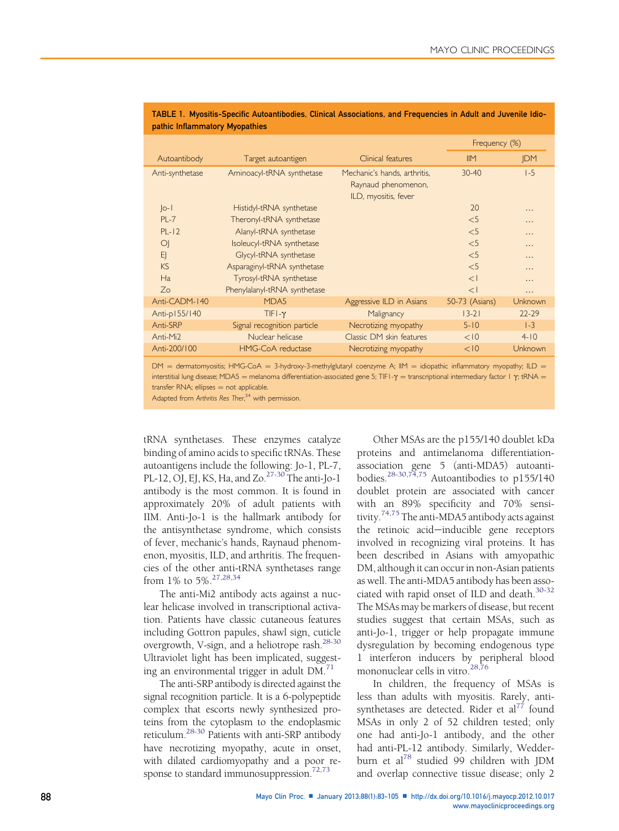|                 |                              |                                                                             |                | Frequency (%) |  |  |
|-----------------|------------------------------|-----------------------------------------------------------------------------|----------------|---------------|--|--|
| Autoantibody    | Target autoantigen           | Clinical features                                                           | IIM            | <b>IDM</b>    |  |  |
| Anti-synthetase | Aminoacyl-tRNA synthetase    | Mechanic's hands, arthritis,<br>Raynaud phenomenon,<br>ILD, myositis, fever | $30 - 40$      | $1-5$         |  |  |
| $ o-1 $         | Histidyl-tRNA synthetase     |                                                                             | 20             | .             |  |  |
| $PI -7$         | Theronyl-tRNA synthetase     |                                                                             | $<$ 5          | .             |  |  |
| $PI - 12$       | Alanyl-tRNA synthetase       |                                                                             | $<$ 5          | .             |  |  |
| $\circ$         | Isoleucyl-tRNA synthetase    |                                                                             | $<$ 5          | .             |  |  |
| E               | Glycyl-tRNA synthetase       |                                                                             | $<$ 5          | .             |  |  |
| <b>KS</b>       | Asparaginyl-tRNA synthetase  |                                                                             | $<$ 5          | .             |  |  |
| Ha              | Tyrosyl-tRNA synthetase      |                                                                             | $\lt$          | .             |  |  |
| 7 <sub>o</sub>  | Phenylalanyl-tRNA synthetase |                                                                             | $\lt$          | .             |  |  |
| Anti-CADM-140   | MDA5                         | Aggressive ILD in Asians                                                    | 50-73 (Asians) | Unknown       |  |  |
| Anti-p155/140   | $TIFI - Y$                   | Malignancy                                                                  | $13 - 21$      | $22 - 29$     |  |  |
| Anti-SRP        | Signal recognition particle  | Necrotizing myopathy                                                        | $5 - 10$       | $ -3$         |  |  |
| Anti-Mi2        | Nuclear helicase             | Classic DM skin features                                                    | < 10           | $4 - 10$      |  |  |
| Anti-200/100    | HMG-CoA reductase            | Necrotizing myopathy                                                        | < 10           | Unknown       |  |  |

#### <span id="page-5-0"></span>TABLE 1. Myositis-Specific Autoantibodies, Clinical Associations, and Frequencies in Adult and Juvenile Idiopathic Inflammatory Myopathies

 $DM =$  dermatomyositis; HMG-CoA = 3-hydroxy-3-methylglutaryl coenzyme A; IIM = idiopathic inflammatory myopathy; ILD = interstitial lung disease; MDA5 = melanoma differentiation-associated gene 5; TIF1- $\gamma$  = transcriptional intermediary factor 1  $\gamma$ ; tRNA =  $transfer RNA; ellipses = not applicable.$ 

Adapted from Arthritis Res Ther,<sup>[34](#page-18-0)</sup> with permission.

tRNA synthetases. These enzymes catalyze binding of amino acids to specific tRNAs. These autoantigens include the following: Jo-1, PL-7, PL-12, OJ, EJ, KS, Ha, and Zo. $27-30$  The anti-Jo-1 antibody is the most common. It is found in approximately 20% of adult patients with IIM. Anti-Jo-1 is the hallmark antibody for the antisynthetase syndrome, which consists of fever, mechanic's hands, Raynaud phenomenon, myositis, ILD, and arthritis. The frequencies of the other anti-tRNA synthetases range from 1% to 5%.[27,28,34](#page-17-0)

The anti-Mi2 antibody acts against a nuclear helicase involved in transcriptional activation. Patients have classic cutaneous features including Gottron papules, shawl sign, cuticle overgrowth, V-sign, and a heliotrope rash.<sup>28-30</sup> Ultraviolet light has been implicated, suggesting an environmental trigger in adult DM.[71](#page-19-0)

The anti-SRP antibody is directed against the signal recognition particle. It is a 6-polypeptide complex that escorts newly synthesized proteins from the cytoplasm to the endoplasmic reticulum[.28-30](#page-18-0) Patients with anti-SRP antibody have necrotizing myopathy, acute in onset, with dilated cardiomyopathy and a poor response to standard immunosuppression. $72,73$ 

Other MSAs are the p155/140 doublet kDa proteins and antimelanoma differentiationassociation gene 5 (anti-MDA5) autoanti-bodies.<sup>[28-30,74,75](#page-18-0)</sup> Autoantibodies to p155/140 doublet protein are associated with cancer with an 89% specificity and 70% sensitivity.[74,75](#page-19-0) The anti-MDA5 antibody acts against the retinoic acid-inducible gene receptors involved in recognizing viral proteins. It has been described in Asians with amyopathic DM, although it can occur in non-Asian patients as well. The anti-MDA5 antibody has been associated with rapid onset of ILD and death.[30-32](#page-18-0) The MSAs may be markers of disease, but recent studies suggest that certain MSAs, such as anti-Jo-1, trigger or help propagate immune dysregulation by becoming endogenous type 1 interferon inducers by peripheral blood mononuclear cells in vitro.<sup>[28,76](#page-18-0)</sup>

In children, the frequency of MSAs is less than adults with myositis. Rarely, antisynthetases are detected. Rider et  $al^{77}$  $al^{77}$  $al^{77}$  found MSAs in only 2 of 52 children tested; only one had anti-Jo-1 antibody, and the other had anti-PL-12 antibody. Similarly, Wedder-burn et al<sup>[78](#page-19-0)</sup> studied 99 children with JDM and overlap connective tissue disease; only 2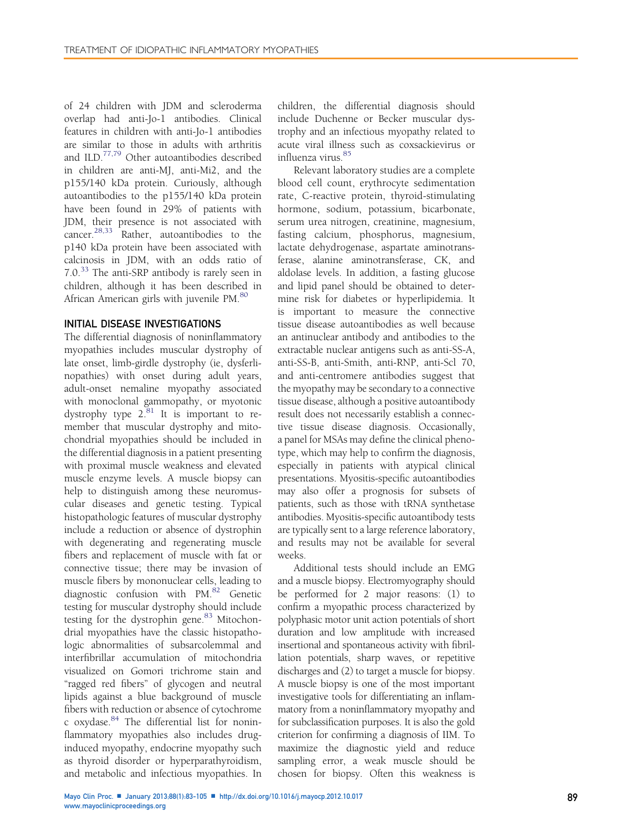of 24 children with JDM and scleroderma overlap had anti-Jo-1 antibodies. Clinical features in children with anti-Jo-1 antibodies are similar to those in adults with arthritis and ILD.[77,79](#page-19-0) Other autoantibodies described in children are anti-MJ, anti-Mi2, and the p155/140 kDa protein. Curiously, although autoantibodies to the p155/140 kDa protein have been found in 29% of patients with JDM, their presence is not associated with cancer.<sup>[28,33](#page-18-0)</sup> Rather, autoantibodies to the p140 kDa protein have been associated with calcinosis in JDM, with an odds ratio of 7.0.[33](#page-18-0) The anti-SRP antibody is rarely seen in children, although it has been described in African American girls with juvenile PM.<sup>[80](#page-19-0)</sup>

## INITIAL DISEASE INVESTIGATIONS

The differential diagnosis of noninflammatory myopathies includes muscular dystrophy of late onset, limb-girdle dystrophy (ie, dysferlinopathies) with onset during adult years, adult-onset nemaline myopathy associated with monoclonal gammopathy, or myotonic dystrophy type  $2.^{81}$  It is important to remember that muscular dystrophy and mitochondrial myopathies should be included in the differential diagnosis in a patient presenting with proximal muscle weakness and elevated muscle enzyme levels. A muscle biopsy can help to distinguish among these neuromuscular diseases and genetic testing. Typical histopathologic features of muscular dystrophy include a reduction or absence of dystrophin with degenerating and regenerating muscle fibers and replacement of muscle with fat or connective tissue; there may be invasion of muscle fibers by mononuclear cells, leading to diagnostic confusion with PM.[82](#page-19-0) Genetic testing for muscular dystrophy should include testing for the dystrophin gene. $83$  Mitochondrial myopathies have the classic histopathologic abnormalities of subsarcolemmal and interfibrillar accumulation of mitochondria visualized on Gomori trichrome stain and "ragged red fibers" of glycogen and neutral lipids against a blue background of muscle fibers with reduction or absence of cytochrome c oxydase.[84](#page-19-0) The differential list for noninflammatory myopathies also includes druginduced myopathy, endocrine myopathy such as thyroid disorder or hyperparathyroidism, and metabolic and infectious myopathies. In

children, the differential diagnosis should include Duchenne or Becker muscular dystrophy and an infectious myopathy related to acute viral illness such as coxsackievirus or influenza virus. [85](#page-19-0)

Relevant laboratory studies are a complete blood cell count, erythrocyte sedimentation rate, C-reactive protein, thyroid-stimulating hormone, sodium, potassium, bicarbonate, serum urea nitrogen, creatinine, magnesium, fasting calcium, phosphorus, magnesium, lactate dehydrogenase, aspartate aminotransferase, alanine aminotransferase, CK, and aldolase levels. In addition, a fasting glucose and lipid panel should be obtained to determine risk for diabetes or hyperlipidemia. It is important to measure the connective tissue disease autoantibodies as well because an antinuclear antibody and antibodies to the extractable nuclear antigens such as anti-SS-A, anti-SS-B, anti-Smith, anti-RNP, anti-Scl 70, and anti-centromere antibodies suggest that the myopathy may be secondary to a connective tissue disease, although a positive autoantibody result does not necessarily establish a connective tissue disease diagnosis. Occasionally, a panel for MSAs may define the clinical phenotype, which may help to confirm the diagnosis, especially in patients with atypical clinical presentations. Myositis-specific autoantibodies may also offer a prognosis for subsets of patients, such as those with tRNA synthetase antibodies. Myositis-specific autoantibody tests are typically sent to a large reference laboratory, and results may not be available for several weeks.

Additional tests should include an EMG and a muscle biopsy. Electromyography should be performed for 2 major reasons: (1) to confirm a myopathic process characterized by polyphasic motor unit action potentials of short duration and low amplitude with increased insertional and spontaneous activity with fibrillation potentials, sharp waves, or repetitive discharges and (2) to target a muscle for biopsy. A muscle biopsy is one of the most important investigative tools for differentiating an inflammatory from a noninflammatory myopathy and for subclassification purposes. It is also the gold criterion for confirming a diagnosis of IIM. To maximize the diagnostic yield and reduce sampling error, a weak muscle should be chosen for biopsy. Often this weakness is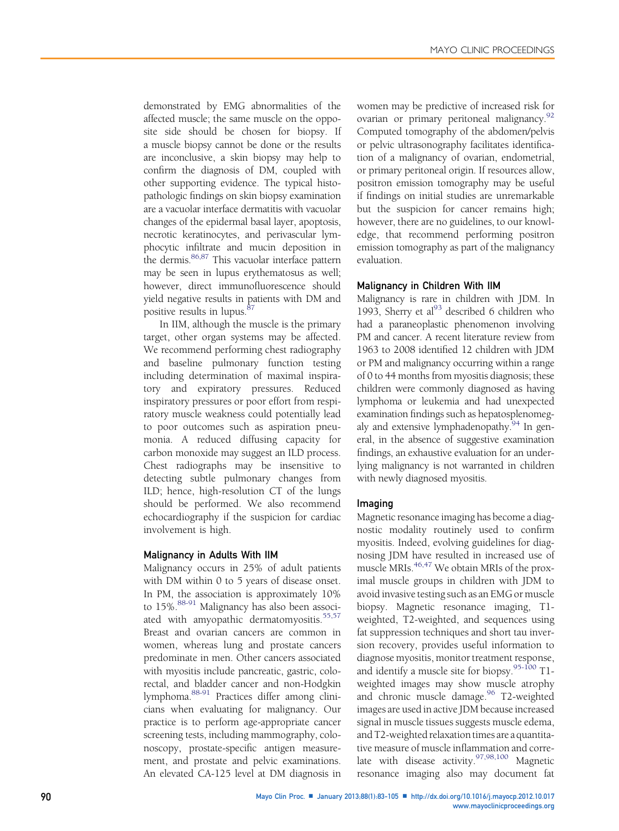demonstrated by EMG abnormalities of the affected muscle; the same muscle on the opposite side should be chosen for biopsy. If a muscle biopsy cannot be done or the results are inconclusive, a skin biopsy may help to confirm the diagnosis of DM, coupled with other supporting evidence. The typical histopathologic findings on skin biopsy examination are a vacuolar interface dermatitis with vacuolar changes of the epidermal basal layer, apoptosis, necrotic keratinocytes, and perivascular lymphocytic infiltrate and mucin deposition in the dermis.<sup>[86,87](#page-19-0)</sup> This vacuolar interface pattern may be seen in lupus erythematosus as well; however, direct immunofluorescence should yield negative results in patients with DM and positive results in lupus.<sup>[87](#page-19-0)</sup>

In IIM, although the muscle is the primary target, other organ systems may be affected. We recommend performing chest radiography and baseline pulmonary function testing including determination of maximal inspiratory and expiratory pressures. Reduced inspiratory pressures or poor effort from respiratory muscle weakness could potentially lead to poor outcomes such as aspiration pneumonia. A reduced diffusing capacity for carbon monoxide may suggest an ILD process. Chest radiographs may be insensitive to detecting subtle pulmonary changes from ILD; hence, high-resolution CT of the lungs should be performed. We also recommend echocardiography if the suspicion for cardiac involvement is high.

#### Malignancy in Adults With IIM

Malignancy occurs in 25% of adult patients with DM within 0 to 5 years of disease onset. In PM, the association is approximately 10% to 15%.<sup>[88-91](#page-19-0)</sup> Malignancy has also been associ-ated with amyopathic dermatomyositis.<sup>[55,57](#page-18-0)</sup> Breast and ovarian cancers are common in women, whereas lung and prostate cancers predominate in men. Other cancers associated with myositis include pancreatic, gastric, colorectal, and bladder cancer and non-Hodgkin lymphoma[.88-91](#page-19-0) Practices differ among clinicians when evaluating for malignancy. Our practice is to perform age-appropriate cancer screening tests, including mammography, colonoscopy, prostate-specific antigen measurement, and prostate and pelvic examinations. An elevated CA-125 level at DM diagnosis in women may be predictive of increased risk for ovarian or primary peritoneal malignancy.<sup>[92](#page-19-0)</sup> Computed tomography of the abdomen/pelvis or pelvic ultrasonography facilitates identification of a malignancy of ovarian, endometrial, or primary peritoneal origin. If resources allow, positron emission tomography may be useful if findings on initial studies are unremarkable but the suspicion for cancer remains high; however, there are no guidelines, to our knowledge, that recommend performing positron emission tomography as part of the malignancy evaluation.

#### Malignancy in Children With IIM

Malignancy is rare in children with JDM. In 19[93](#page-19-0), Sherry et al $^{93}$  described 6 children who had a paraneoplastic phenomenon involving PM and cancer. A recent literature review from 1963 to 2008 identified 12 children with JDM or PM and malignancy occurring within a range of 0 to 44 months from myositis diagnosis; these children were commonly diagnosed as having lymphoma or leukemia and had unexpected examination findings such as hepatosplenomegaly and extensive lymphadenopathy.<sup>94</sup> In general, in the absence of suggestive examination findings, an exhaustive evaluation for an underlying malignancy is not warranted in children with newly diagnosed myositis.

#### Imaging

Magnetic resonance imaging has become a diagnostic modality routinely used to confirm myositis. Indeed, evolving guidelines for diagnosing JDM have resulted in increased use of muscle MRIs.<sup>[46,47](#page-18-0)</sup> We obtain MRIs of the proximal muscle groups in children with JDM to avoid invasive testing such as an EMG or muscle biopsy. Magnetic resonance imaging, T1 weighted, T2-weighted, and sequences using fat suppression techniques and short tau inversion recovery, provides useful information to diagnose myositis, monitor treatment response, and identify a muscle site for biopsy.<sup>[95-100](#page-19-0)</sup> T1weighted images may show muscle atrophy and chronic muscle damage.<sup>[96](#page-19-0)</sup> T2-weighted images are used in active JDM because increased signal in muscle tissues suggests muscle edema, and T2-weighted relaxation times are a quantitative measure of muscle inflammation and corre-late with disease activity.<sup>[97,98,100](#page-19-0)</sup> Magnetic resonance imaging also may document fat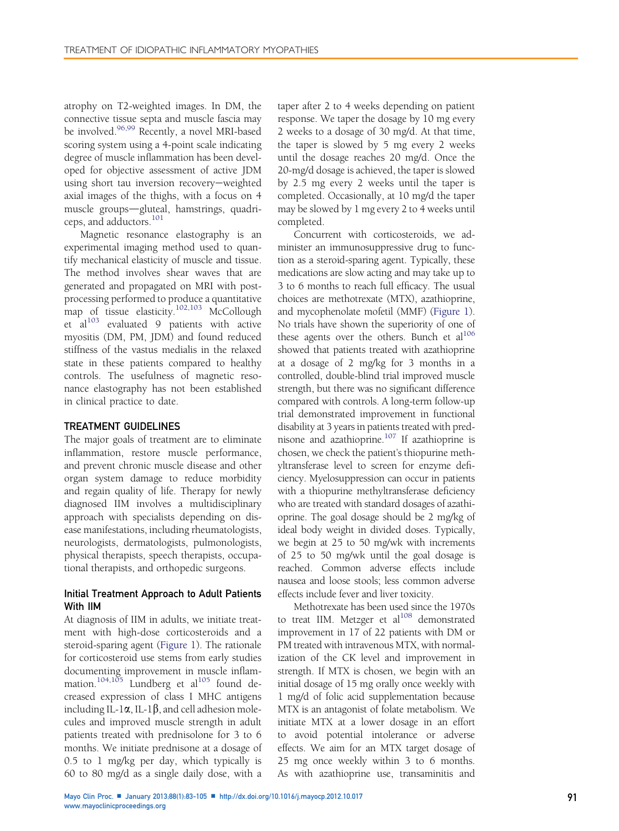atrophy on T2-weighted images. In DM, the connective tissue septa and muscle fascia may be involved.<sup>[96,99](#page-19-0)</sup> Recently, a novel MRI-based scoring system using a 4-point scale indicating degree of muscle inflammation has been developed for objective assessment of active JDM using short tau inversion recovery-weighted axial images of the thighs, with a focus on 4 muscle groups-gluteal, hamstrings, quadri-ceps, and adductors.<sup>[101](#page-19-0)</sup>

Magnetic resonance elastography is an experimental imaging method used to quantify mechanical elasticity of muscle and tissue. The method involves shear waves that are generated and propagated on MRI with postprocessing performed to produce a quantitative map of tissue elasticity.<sup>[102,103](#page-19-0)</sup> McCollough et  $al^{103}$  $al^{103}$  $al^{103}$  evaluated 9 patients with active myositis (DM, PM, JDM) and found reduced stiffness of the vastus medialis in the relaxed state in these patients compared to healthy controls. The usefulness of magnetic resonance elastography has not been established in clinical practice to date.

#### TREATMENT GUIDELINES

The major goals of treatment are to eliminate inflammation, restore muscle performance, and prevent chronic muscle disease and other organ system damage to reduce morbidity and regain quality of life. Therapy for newly diagnosed IIM involves a multidisciplinary approach with specialists depending on disease manifestations, including rheumatologists, neurologists, dermatologists, pulmonologists, physical therapists, speech therapists, occupational therapists, and orthopedic surgeons.

## Initial Treatment Approach to Adult Patients With IIM

At diagnosis of IIM in adults, we initiate treatment with high-dose corticosteroids and a steroid-sparing agent [\(Figure 1\)](#page-9-0). The rationale for corticosteroid use stems from early studies documenting improvement in muscle inflam-mation.<sup>104,[105](#page-19-0)</sup> Lundberg et al<sup>105</sup> found decreased expression of class I MHC antigens including IL-1 $\alpha$ , IL-1 $\beta$ , and cell adhesion molecules and improved muscle strength in adult patients treated with prednisolone for 3 to 6 months. We initiate prednisone at a dosage of 0.5 to 1 mg/kg per day, which typically is 60 to 80 mg/d as a single daily dose, with a

taper after 2 to 4 weeks depending on patient response. We taper the dosage by 10 mg every 2 weeks to a dosage of 30 mg/d. At that time, the taper is slowed by 5 mg every 2 weeks until the dosage reaches 20 mg/d. Once the 20-mg/d dosage is achieved, the taper is slowed by 2.5 mg every 2 weeks until the taper is completed. Occasionally, at 10 mg/d the taper may be slowed by 1 mg every 2 to 4 weeks until completed.

Concurrent with corticosteroids, we administer an immunosuppressive drug to function as a steroid-sparing agent. Typically, these medications are slow acting and may take up to 3 to 6 months to reach full efficacy. The usual choices are methotrexate (MTX), azathioprine, and mycophenolate mofetil (MMF) ([Figure 1\)](#page-9-0). No trials have shown the superiority of one of these agents over the others. Bunch et  $al^{106}$ showed that patients treated with azathioprine at a dosage of 2 mg/kg for 3 months in a controlled, double-blind trial improved muscle strength, but there was no significant difference compared with controls. A long-term follow-up trial demonstrated improvement in functional disability at 3 years in patients treated with prednisone and azathioprine.[107](#page-20-0) If azathioprine is chosen, we check the patient's thiopurine methyltransferase level to screen for enzyme deficiency. Myelosuppression can occur in patients with a thiopurine methyltransferase deficiency who are treated with standard dosages of azathioprine. The goal dosage should be 2 mg/kg of ideal body weight in divided doses. Typically, we begin at 25 to 50 mg/wk with increments of 25 to 50 mg/wk until the goal dosage is reached. Common adverse effects include nausea and loose stools; less common adverse effects include fever and liver toxicity.

Methotrexate has been used since the 1970s to treat IIM. Metzger et al<sup>108</sup> demonstrated improvement in 17 of 22 patients with DM or PM treated with intravenous MTX, with normalization of the CK level and improvement in strength. If MTX is chosen, we begin with an initial dosage of 15 mg orally once weekly with 1 mg/d of folic acid supplementation because MTX is an antagonist of folate metabolism. We initiate MTX at a lower dosage in an effort to avoid potential intolerance or adverse effects. We aim for an MTX target dosage of 25 mg once weekly within 3 to 6 months. As with azathioprine use, transaminitis and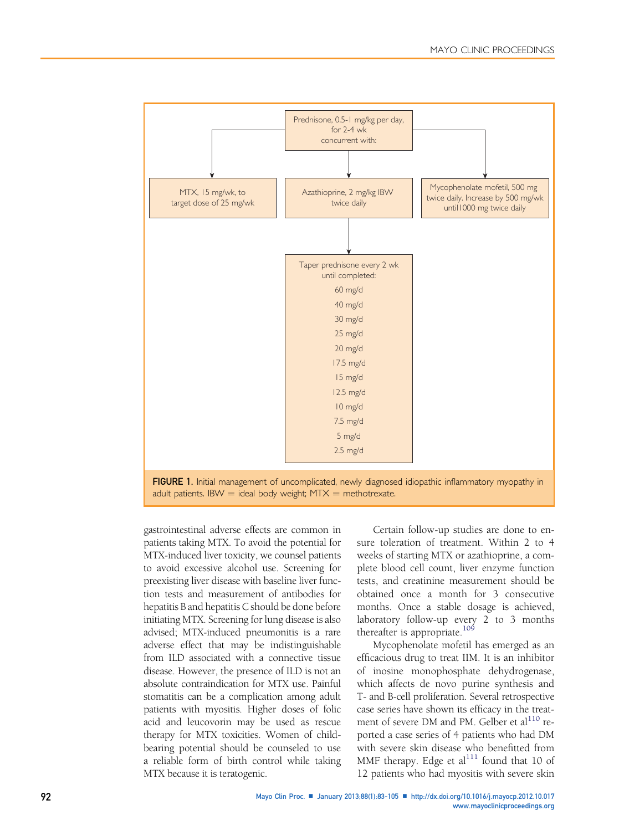<span id="page-9-0"></span>

adult patients. IBW  $=$  ideal body weight; MTX  $=$  methotrexate.

gastrointestinal adverse effects are common in patients taking MTX. To avoid the potential for MTX-induced liver toxicity, we counsel patients to avoid excessive alcohol use. Screening for preexisting liver disease with baseline liver function tests and measurement of antibodies for hepatitis B and hepatitis C should be done before initiating MTX. Screening for lung disease is also advised; MTX-induced pneumonitis is a rare adverse effect that may be indistinguishable from ILD associated with a connective tissue disease. However, the presence of ILD is not an absolute contraindication for MTX use. Painful stomatitis can be a complication among adult patients with myositis. Higher doses of folic acid and leucovorin may be used as rescue therapy for MTX toxicities. Women of childbearing potential should be counseled to use a reliable form of birth control while taking MTX because it is teratogenic.

Certain follow-up studies are done to ensure toleration of treatment. Within 2 to 4 weeks of starting MTX or azathioprine, a complete blood cell count, liver enzyme function tests, and creatinine measurement should be obtained once a month for 3 consecutive months. Once a stable dosage is achieved, laboratory follow-up every 2 to 3 months thereafter is appropriate.<sup>[109](#page-20-0)</sup>

Mycophenolate mofetil has emerged as an efficacious drug to treat IIM. It is an inhibitor of inosine monophosphate dehydrogenase, which affects de novo purine synthesis and T- and B-cell proliferation. Several retrospective case series have shown its efficacy in the treatment of severe DM and PM. Gelber et al<sup>110</sup> reported a case series of 4 patients who had DM with severe skin disease who benefitted from MMF therapy. Edge et  $al<sup>111</sup>$  $al<sup>111</sup>$  $al<sup>111</sup>$  found that 10 of 12 patients who had myositis with severe skin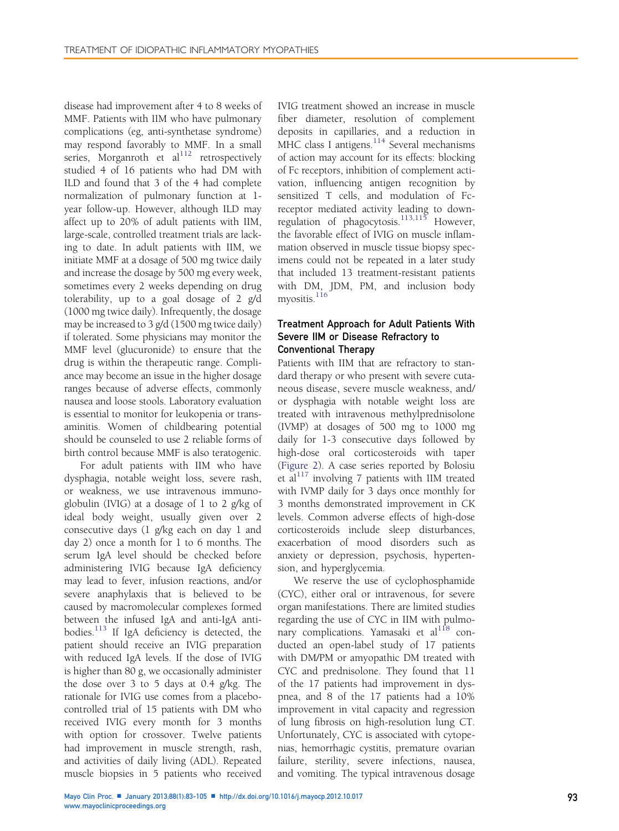disease had improvement after 4 to 8 weeks of MMF. Patients with IIM who have pulmonary complications (eg, anti-synthetase syndrome) may respond favorably to MMF. In a small series, Morganroth et  $al<sup>112</sup>$  $al<sup>112</sup>$  $al<sup>112</sup>$  retrospectively studied 4 of 16 patients who had DM with ILD and found that 3 of the 4 had complete normalization of pulmonary function at 1 year follow-up. However, although ILD may affect up to 20% of adult patients with IIM, large-scale, controlled treatment trials are lacking to date. In adult patients with IIM, we initiate MMF at a dosage of 500 mg twice daily and increase the dosage by 500 mg every week, sometimes every 2 weeks depending on drug tolerability, up to a goal dosage of 2 g/d (1000 mg twice daily). Infrequently, the dosage may be increased to 3 g/d (1500 mg twice daily) if tolerated. Some physicians may monitor the MMF level (glucuronide) to ensure that the drug is within the therapeutic range. Compliance may become an issue in the higher dosage ranges because of adverse effects, commonly nausea and loose stools. Laboratory evaluation is essential to monitor for leukopenia or transaminitis. Women of childbearing potential should be counseled to use 2 reliable forms of birth control because MMF is also teratogenic.

For adult patients with IIM who have dysphagia, notable weight loss, severe rash, or weakness, we use intravenous immunoglobulin (IVIG) at a dosage of 1 to 2 g/kg of ideal body weight, usually given over 2 consecutive days (1 g/kg each on day 1 and day 2) once a month for 1 to 6 months. The serum IgA level should be checked before administering IVIG because IgA deficiency may lead to fever, infusion reactions, and/or severe anaphylaxis that is believed to be caused by macromolecular complexes formed between the infused IgA and anti-IgA antibodies. $^{113}$  $^{113}$  $^{113}$  If IgA deficiency is detected, the patient should receive an IVIG preparation with reduced IgA levels. If the dose of IVIG is higher than 80 g, we occasionally administer the dose over 3 to 5 days at 0.4  $g/kg$ . The rationale for IVIG use comes from a placebocontrolled trial of 15 patients with DM who received IVIG every month for 3 months with option for crossover. Twelve patients had improvement in muscle strength, rash, and activities of daily living (ADL). Repeated muscle biopsies in 5 patients who received

IVIG treatment showed an increase in muscle fiber diameter, resolution of complement deposits in capillaries, and a reduction in MHC class I antigens.<sup>[114](#page-20-0)</sup> Several mechanisms of action may account for its effects: blocking of Fc receptors, inhibition of complement activation, influencing antigen recognition by sensitized T cells, and modulation of Fcreceptor mediated activity leading to down-regulation of phagocytosis.<sup>[113,115](#page-20-0)</sup> However, the favorable effect of IVIG on muscle inflammation observed in muscle tissue biopsy specimens could not be repeated in a later study that included 13 treatment-resistant patients with DM, JDM, PM, and inclusion body myositis.<sup>[116](#page-20-0)</sup>

# Treatment Approach for Adult Patients With Severe IIM or Disease Refractory to Conventional Therapy

Patients with IIM that are refractory to standard therapy or who present with severe cutaneous disease, severe muscle weakness, and/ or dysphagia with notable weight loss are treated with intravenous methylprednisolone (IVMP) at dosages of 500 mg to 1000 mg daily for 1-3 consecutive days followed by high-dose oral corticosteroids with taper ([Figure 2](#page-11-0)). A case series reported by Bolosiu et al $^{117}$  $^{117}$  $^{117}$  involving 7 patients with IIM treated with IVMP daily for 3 days once monthly for 3 months demonstrated improvement in CK levels. Common adverse effects of high-dose corticosteroids include sleep disturbances, exacerbation of mood disorders such as anxiety or depression, psychosis, hypertension, and hyperglycemia.

We reserve the use of cyclophosphamide (CYC), either oral or intravenous, for severe organ manifestations. There are limited studies regarding the use of CYC in IIM with pulmonary complications. Yamasaki et al<sup>118</sup> conducted an open-label study of 17 patients with DM/PM or amyopathic DM treated with CYC and prednisolone. They found that 11 of the 17 patients had improvement in dyspnea, and 8 of the 17 patients had a 10% improvement in vital capacity and regression of lung fibrosis on high-resolution lung CT. Unfortunately, CYC is associated with cytopenias, hemorrhagic cystitis, premature ovarian failure, sterility, severe infections, nausea, and vomiting. The typical intravenous dosage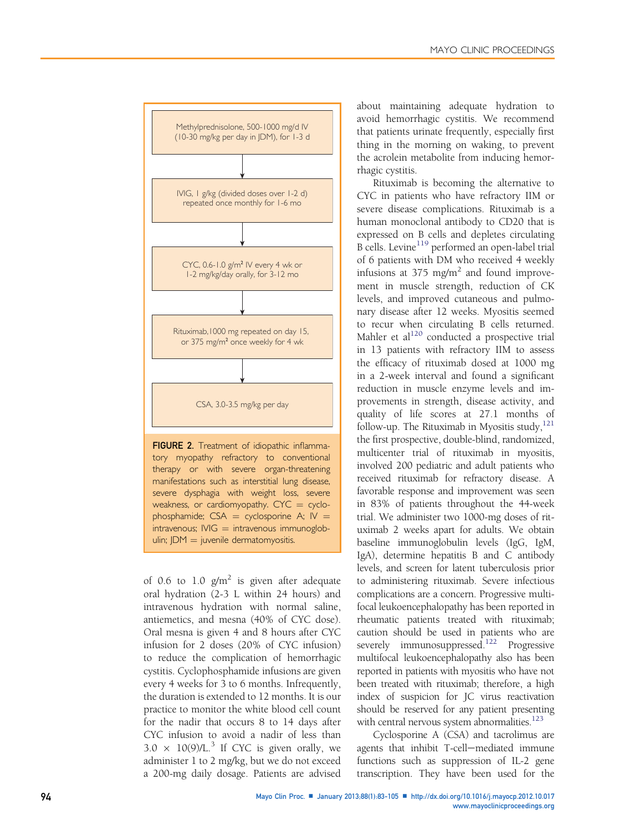<span id="page-11-0"></span>

severe dysphagia with weight loss, severe weakness, or cardiomyopathy.  $CYC = cyclo$ phosphamide;  $CSA = cyclosponine A$ ;  $IV =$  $intravenous; IVIG = intravenous immunoglob$  $ulin$ ;  $IDM = juvenile$  dermatomyositis.

of 0.6 to 1.0  $g/m^2$  is given after adequate oral hydration (2-3 L within 24 hours) and intravenous hydration with normal saline, antiemetics, and mesna (40% of CYC dose). Oral mesna is given 4 and 8 hours after CYC infusion for 2 doses (20% of CYC infusion) to reduce the complication of hemorrhagic cystitis. Cyclophosphamide infusions are given every 4 weeks for 3 to 6 months. Infrequently, the duration is extended to 12 months. It is our practice to monitor the white blood cell count for the nadir that occurs 8 to 14 days after CYC infusion to avoid a nadir of less than  $3.0 \times 10(9)/L^{3}$  If CYC is given orally, we administer 1 to 2 mg/kg, but we do not exceed a 200-mg daily dosage. Patients are advised about maintaining adequate hydration to avoid hemorrhagic cystitis. We recommend that patients urinate frequently, especially first thing in the morning on waking, to prevent the acrolein metabolite from inducing hemorrhagic cystitis.

Rituximab is becoming the alternative to CYC in patients who have refractory IIM or severe disease complications. Rituximab is a human monoclonal antibody to CD20 that is expressed on B cells and depletes circulating B cells. Levine<sup>[119](#page-20-0)</sup> performed an open-label trial of 6 patients with DM who received 4 weekly infusions at 375 mg/m<sup>2</sup> and found improvement in muscle strength, reduction of CK levels, and improved cutaneous and pulmonary disease after 12 weeks. Myositis seemed to recur when circulating B cells returned. Mahler et al $^{120}$  $^{120}$  $^{120}$  conducted a prospective trial in 13 patients with refractory IIM to assess the efficacy of rituximab dosed at 1000 mg in a 2-week interval and found a significant reduction in muscle enzyme levels and improvements in strength, disease activity, and quality of life scores at 27.1 months of follow-up. The Rituximab in Myositis study, $121$ the first prospective, double-blind, randomized, multicenter trial of rituximab in myositis, involved 200 pediatric and adult patients who received rituximab for refractory disease. A favorable response and improvement was seen in 83% of patients throughout the 44-week trial. We administer two 1000-mg doses of rituximab 2 weeks apart for adults. We obtain baseline immunoglobulin levels (IgG, IgM, IgA), determine hepatitis B and C antibody levels, and screen for latent tuberculosis prior to administering rituximab. Severe infectious complications are a concern. Progressive multifocal leukoencephalopathy has been reported in rheumatic patients treated with rituximab; caution should be used in patients who are severely immunosuppressed.<sup>[122](#page-20-0)</sup> Progressive multifocal leukoencephalopathy also has been reported in patients with myositis who have not been treated with rituximab; therefore, a high index of suspicion for JC virus reactivation should be reserved for any patient presenting with central nervous system abnormalities.<sup>123</sup>

Cyclosporine A (CSA) and tacrolimus are agents that inhibit T-cell-mediated immune functions such as suppression of IL-2 gene transcription. They have been used for the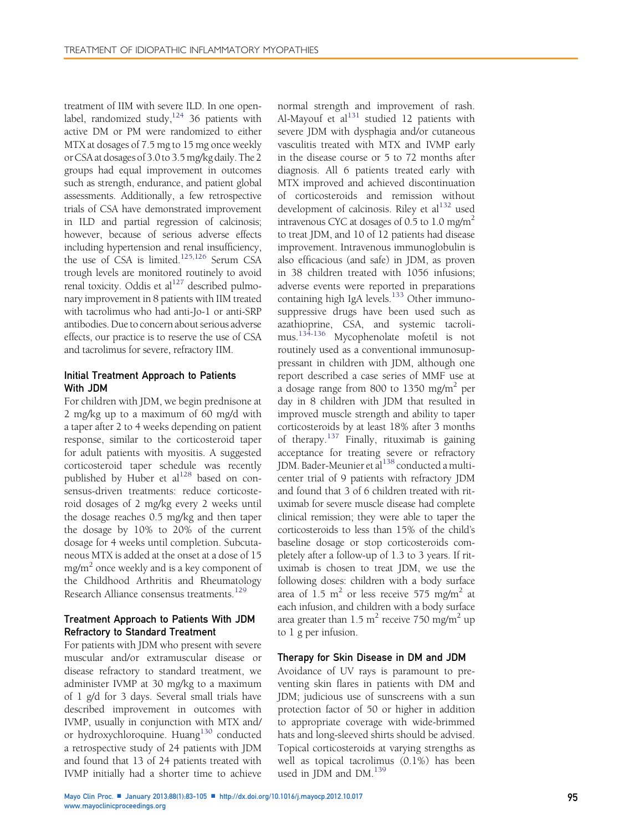treatment of IIM with severe ILD. In one openlabel, randomized study, $124$  36 patients with active DM or PM were randomized to either MTX at dosages of 7.5 mg to 15 mg once weekly or CSA at dosages of 3.0to 3.5 mg/kg daily. The 2 groups had equal improvement in outcomes such as strength, endurance, and patient global assessments. Additionally, a few retrospective trials of CSA have demonstrated improvement in ILD and partial regression of calcinosis; however, because of serious adverse effects including hypertension and renal insufficiency, the use of CSA is limited[.125,126](#page-20-0) Serum CSA trough levels are monitored routinely to avoid renal toxicity. Oddis et  $al<sup>127</sup>$  described pulmonary improvement in 8 patients with IIM treated with tacrolimus who had anti-Jo-1 or anti-SRP antibodies. Due to concern about serious adverse effects, our practice is to reserve the use of CSA and tacrolimus for severe, refractory IIM.

## Initial Treatment Approach to Patients With JDM

For children with JDM, we begin prednisone at 2 mg/kg up to a maximum of 60 mg/d with a taper after 2 to 4 weeks depending on patient response, similar to the corticosteroid taper for adult patients with myositis. A suggested corticosteroid taper schedule was recently published by Huber et al<sup>128</sup> based on consensus-driven treatments: reduce corticosteroid dosages of 2 mg/kg every 2 weeks until the dosage reaches 0.5 mg/kg and then taper the dosage by 10% to 20% of the current dosage for 4 weeks until completion. Subcutaneous MTX is added at the onset at a dose of 15 mg/m<sup>2</sup> once weekly and is a key component of the Childhood Arthritis and Rheumatology Research Alliance consensus treatments.<sup>[129](#page-20-0)</sup>

## Treatment Approach to Patients With JDM Refractory to Standard Treatment

For patients with JDM who present with severe muscular and/or extramuscular disease or disease refractory to standard treatment, we administer IVMP at 30 mg/kg to a maximum of 1 g/d for 3 days. Several small trials have described improvement in outcomes with IVMP, usually in conjunction with MTX and/ or hydroxychloroquine. Huang<sup>[130](#page-20-0)</sup> conducted a retrospective study of 24 patients with JDM and found that 13 of 24 patients treated with IVMP initially had a shorter time to achieve

normal strength and improvement of rash. Al-Mayouf et  $al<sup>131</sup>$  $al<sup>131</sup>$  $al<sup>131</sup>$  studied 12 patients with severe JDM with dysphagia and/or cutaneous vasculitis treated with MTX and IVMP early in the disease course or 5 to 72 months after diagnosis. All 6 patients treated early with MTX improved and achieved discontinuation of corticosteroids and remission without development of calcinosis. Riley et  $al<sup>132</sup>$  $al<sup>132</sup>$  $al<sup>132</sup>$  used intravenous CYC at dosages of  $0.5$  to  $1.0$  mg/m<sup>2</sup> to treat JDM, and 10 of 12 patients had disease improvement. Intravenous immunoglobulin is also efficacious (and safe) in JDM, as proven in 38 children treated with 1056 infusions; adverse events were reported in preparations containing high IgA levels.<sup>[133](#page-20-0)</sup> Other immunosuppressive drugs have been used such as azathioprine, CSA, and systemic tacrolimus.[134-136](#page-20-0) Mycophenolate mofetil is not routinely used as a conventional immunosuppressant in children with JDM, although one report described a case series of MMF use at a dosage range from 800 to 1350 mg/m<sup>2</sup> per day in 8 children with JDM that resulted in improved muscle strength and ability to taper corticosteroids by at least 18% after 3 months of therapy.<sup>[137](#page-20-0)</sup> Finally, rituximab is gaining acceptance for treating severe or refractory JDM. Bader-Meunier et al<sup>138</sup> conducted a multicenter trial of 9 patients with refractory JDM and found that 3 of 6 children treated with rituximab for severe muscle disease had complete clinical remission; they were able to taper the corticosteroids to less than 15% of the child's baseline dosage or stop corticosteroids completely after a follow-up of 1.3 to 3 years. If rituximab is chosen to treat JDM, we use the following doses: children with a body surface area of 1.5  $m^2$  or less receive 575 mg/m<sup>2</sup> at each infusion, and children with a body surface area greater than  $1.5 \text{ m}^2$  receive 750 mg/m<sup>2</sup> up to 1 g per infusion.

## Therapy for Skin Disease in DM and JDM

Avoidance of UV rays is paramount to preventing skin flares in patients with DM and JDM; judicious use of sunscreens with a sun protection factor of 50 or higher in addition to appropriate coverage with wide-brimmed hats and long-sleeved shirts should be advised. Topical corticosteroids at varying strengths as well as topical tacrolimus (0.1%) has been used in JDM and DM.<sup>[139](#page-20-0)</sup>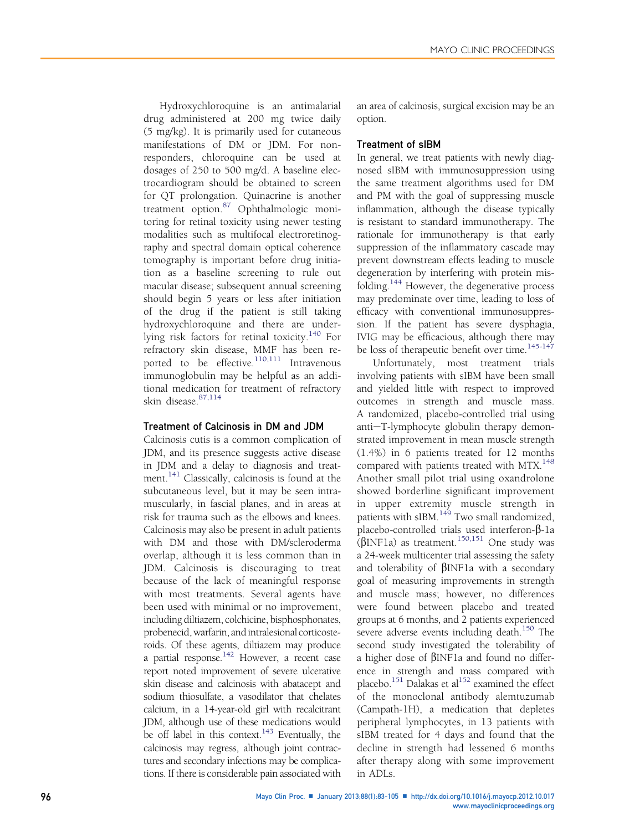Hydroxychloroquine is an antimalarial drug administered at 200 mg twice daily (5 mg/kg). It is primarily used for cutaneous manifestations of DM or JDM. For nonresponders, chloroquine can be used at dosages of 250 to 500 mg/d. A baseline electrocardiogram should be obtained to screen for QT prolongation. Quinacrine is another treatment option.[87](#page-19-0) Ophthalmologic monitoring for retinal toxicity using newer testing modalities such as multifocal electroretinography and spectral domain optical coherence tomography is important before drug initiation as a baseline screening to rule out macular disease; subsequent annual screening should begin 5 years or less after initiation of the drug if the patient is still taking hydroxychloroquine and there are under-lying risk factors for retinal toxicity.<sup>[140](#page-20-0)</sup> For refractory skin disease, MMF has been re-ported to be effective.<sup>[110,111](#page-20-0)</sup> Intravenous immunoglobulin may be helpful as an additional medication for treatment of refractory skin disease.[87,114](#page-19-0)

## Treatment of Calcinosis in DM and JDM

Calcinosis cutis is a common complication of JDM, and its presence suggests active disease in JDM and a delay to diagnosis and treat-ment.<sup>[141](#page-20-0)</sup> Classically, calcinosis is found at the subcutaneous level, but it may be seen intramuscularly, in fascial planes, and in areas at risk for trauma such as the elbows and knees. Calcinosis may also be present in adult patients with DM and those with DM/scleroderma overlap, although it is less common than in JDM. Calcinosis is discouraging to treat because of the lack of meaningful response with most treatments. Several agents have been used with minimal or no improvement, including diltiazem, colchicine, bisphosphonates, probenecid,warfarin, and intralesional corticosteroids. Of these agents, diltiazem may produce a partial response. $142$  However, a recent case report noted improvement of severe ulcerative skin disease and calcinosis with abatacept and sodium thiosulfate, a vasodilator that chelates calcium, in a 14-year-old girl with recalcitrant JDM, although use of these medications would be off label in this context.<sup>[143](#page-20-0)</sup> Eventually, the calcinosis may regress, although joint contractures and secondary infections may be complications. If there is considerable pain associated with an area of calcinosis, surgical excision may be an option.

# Treatment of sIBM

In general, we treat patients with newly diagnosed sIBM with immunosuppression using the same treatment algorithms used for DM and PM with the goal of suppressing muscle inflammation, although the disease typically is resistant to standard immunotherapy. The rationale for immunotherapy is that early suppression of the inflammatory cascade may prevent downstream effects leading to muscle degeneration by interfering with protein misfolding.[144](#page-21-0) However, the degenerative process may predominate over time, leading to loss of efficacy with conventional immunosuppression. If the patient has severe dysphagia, IVIG may be efficacious, although there may be loss of therapeutic benefit over time.<sup>[145-147](#page-21-0)</sup>

Unfortunately, most treatment trials involving patients with sIBM have been small and yielded little with respect to improved outcomes in strength and muscle mass. A randomized, placebo-controlled trial using anti-T-lymphocyte globulin therapy demonstrated improvement in mean muscle strength (1.4%) in 6 patients treated for 12 months compared with patients treated with MTX.<sup>[148](#page-21-0)</sup> Another small pilot trial using oxandrolone showed borderline significant improvement in upper extremity muscle strength in patients with sIBM.<sup>[149](#page-21-0)</sup> Two small randomized, placebo-controlled trials used interferon- $\beta$ -1a  $(BINF1a)$  as treatment.<sup>[150,151](#page-21-0)</sup> One study was a 24-week multicenter trial assessing the safety and tolerability of  $\beta$ INF1a with a secondary goal of measuring improvements in strength and muscle mass; however, no differences were found between placebo and treated groups at 6 months, and 2 patients experienced severe adverse events including death. $150$  The second study investigated the tolerability of a higher dose of  $\beta$ INF1a and found no difference in strength and mass compared with placebo.<sup>151</sup> Dalakas et al<sup>152</sup> examined the effect of the monoclonal antibody alemtuzumab (Campath-1H), a medication that depletes peripheral lymphocytes, in 13 patients with sIBM treated for 4 days and found that the decline in strength had lessened 6 months after therapy along with some improvement in ADLs.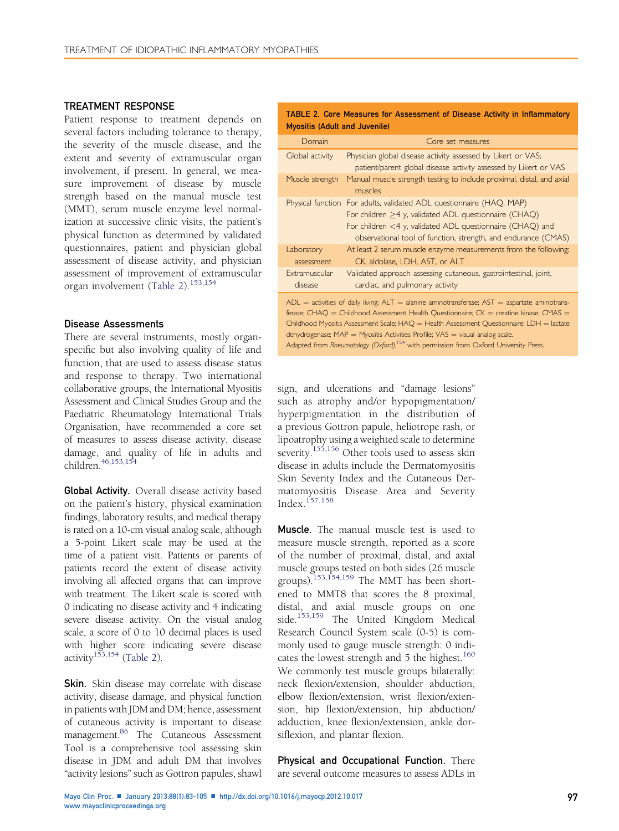## <span id="page-14-0"></span>TREATMENT RESPONSE

Patient response to treatment depends on several factors including tolerance to therapy, the severity of the muscle disease, and the extent and severity of extramuscular organ involvement, if present. In general, we measure improvement of disease by muscle strength based on the manual muscle test (MMT), serum muscle enzyme level normalization at successive clinic visits, the patient's physical function as determined by validated questionnaires, patient and physician global assessment of disease activity, and physician assessment of improvement of extramuscular organ involvement (Table 2).<sup>[153,154](#page-21-0)</sup>

#### Disease Assessments

There are several instruments, mostly organspecific but also involving quality of life and function, that are used to assess disease status and response to therapy. Two international collaborative groups, the International Myositis Assessment and Clinical Studies Group and the Paediatric Rheumatology International Trials Organisation, have recommended a core set of measures to assess disease activity, disease damage, and quality of life in adults and children[.46,153,154](#page-18-0)

Global Activity. Overall disease activity based on the patient's history, physical examination findings, laboratory results, and medical therapy is rated on a 10-cm visual analog scale, although a 5-point Likert scale may be used at the time of a patient visit. Patients or parents of patients record the extent of disease activity involving all affected organs that can improve with treatment. The Likert scale is scored with 0 indicating no disease activity and 4 indicating severe disease activity. On the visual analog scale, a score of 0 to 10 decimal places is used with higher score indicating severe disease activity<sup>[153,154](#page-21-0)</sup> (Table 2).

**Skin.** Skin disease may correlate with disease activity, disease damage, and physical function in patients with JDM and DM; hence, assessment of cutaneous activity is important to disease management.<sup>[86](#page-19-0)</sup> The Cutaneous Assessment Tool is a comprehensive tool assessing skin disease in JDM and adult DM that involves "activity lesions" such as Gottron papules, shawl

|  |                               | TABLE 2. Core Measures for Assessment of Disease Activity in Inflammatory |  |  |  |
|--|-------------------------------|---------------------------------------------------------------------------|--|--|--|
|  | Myositis (Adult and Juvenile) |                                                                           |  |  |  |

| Domain                   | Core set measures                                                                                                                                                                                                                                                                                                                                                                                                                                                                          |
|--------------------------|--------------------------------------------------------------------------------------------------------------------------------------------------------------------------------------------------------------------------------------------------------------------------------------------------------------------------------------------------------------------------------------------------------------------------------------------------------------------------------------------|
| Global activity          | Physician global disease activity assessed by Likert or VAS;<br>patient/parent global disease activity assessed by Likert or VAS                                                                                                                                                                                                                                                                                                                                                           |
| Muscle strength          | Manual muscle strength testing to include proximal, distal, and axial<br>muscles                                                                                                                                                                                                                                                                                                                                                                                                           |
|                          | Physical function For adults, validated ADL questionnaire (HAQ, MAP)<br>For children >4 y, validated ADL questionnaire (CHAQ)<br>For children $<$ 4 y, validated ADL questionnaire (CHAQ) and<br>observational tool of function, strength, and endurance (CMAS)                                                                                                                                                                                                                            |
| Laboratory<br>assessment | At least 2 serum muscle enzyme measurements from the following:<br>CK, aldolase, LDH, AST, or ALT                                                                                                                                                                                                                                                                                                                                                                                          |
| Extramuscular<br>disease | Validated approach assessing cutaneous, gastrointestinal, joint,<br>cardiac, and pulmonary activity                                                                                                                                                                                                                                                                                                                                                                                        |
|                          | $ADL$ = activities of daily living; $ALT$ = alanine aminotransferase; $AST$ = aspartate aminotrans-<br>ferase; $CHAQ = Childhood$ Assessment Health Questionnaire; $CK =$ creatine kinase; $CMAS =$<br>Childhood Myositis Assessment Scale; $HAQ =$ Health Assessment Questionnaire; LDH = lactate<br>dehydrogenase; $MAP = Myositis$ Activities Profile; $VAS = visual$ analog scale.<br>Adapted from Rheumatology (Oxford), <sup>154</sup> with permission from Oxford University Press. |

sign, and ulcerations and "damage lesions" such as atrophy and/or hypopigmentation/ hyperpigmentation in the distribution of a previous Gottron papule, heliotrope rash, or lipoatrophy using a weighted scale to determine severity.<sup>[155,156](#page-21-0)</sup> Other tools used to assess skin disease in adults include the Dermatomyositis Skin Severity Index and the Cutaneous Dermatomyositis Disease Area and Severity Index.[157,158](#page-21-0)

Muscle. The manual muscle test is used to measure muscle strength, reported as a score of the number of proximal, distal, and axial muscle groups tested on both sides (26 muscle groups).[153,154,159](#page-21-0) The MMT has been shortened to MMT8 that scores the 8 proximal, distal, and axial muscle groups on one side.<sup>[153,159](#page-21-0)</sup> The United Kingdom Medical Research Council System scale (0-5) is commonly used to gauge muscle strength: 0 indicates the lowest strength and  $5$  the highest.<sup>[160](#page-21-0)</sup> We commonly test muscle groups bilaterally: neck flexion/extension, shoulder abduction, elbow flexion/extension, wrist flexion/extension, hip flexion/extension, hip abduction/ adduction, knee flexion/extension, ankle dorsiflexion, and plantar flexion.

Physical and Occupational Function. There are several outcome measures to assess ADLs in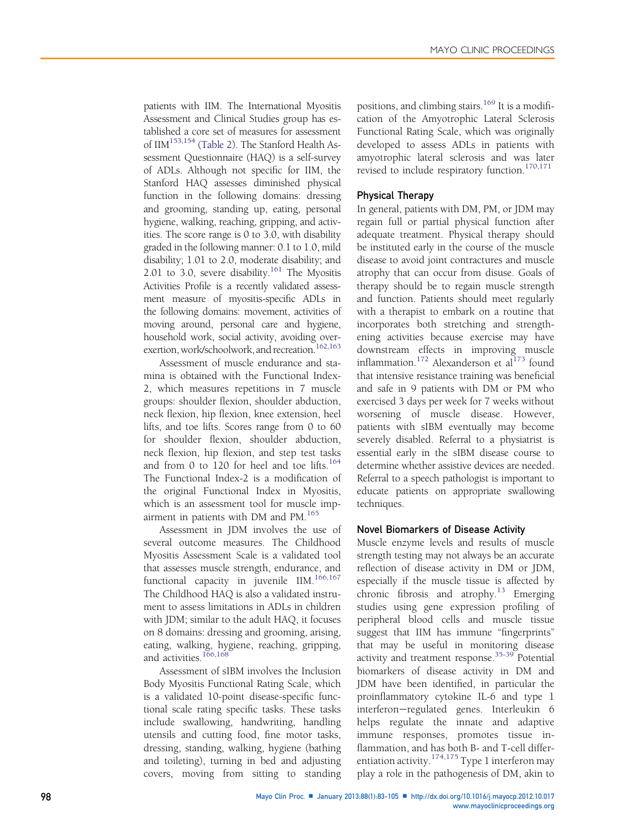patients with IIM. The International Myositis Assessment and Clinical Studies group has established a core set of measures for assessment of IIM<sup>[153,154](#page-21-0)</sup> [\(Table 2\)](#page-14-0). The Stanford Health Assessment Questionnaire (HAQ) is a self-survey of ADLs. Although not specific for IIM, the Stanford HAQ assesses diminished physical function in the following domains: dressing and grooming, standing up, eating, personal hygiene, walking, reaching, gripping, and activities. The score range is 0 to 3.0, with disability graded in the following manner: 0.1 to 1.0, mild disability; 1.01 to 2.0, moderate disability; and 2.01 to 3.0, severe disability.<sup>161</sup> The Myositis Activities Profile is a recently validated assessment measure of myositis-specific ADLs in the following domains: movement, activities of moving around, personal care and hygiene, household work, social activity, avoiding overexertion, work/schoolwork, and recreation.<sup>162,163</sup>

Assessment of muscle endurance and stamina is obtained with the Functional Index-2, which measures repetitions in 7 muscle groups: shoulder flexion, shoulder abduction, neck flexion, hip flexion, knee extension, heel lifts, and toe lifts. Scores range from 0 to 60 for shoulder flexion, shoulder abduction, neck flexion, hip flexion, and step test tasks and from 0 to 120 for heel and toe lifts.<sup>[164](#page-21-0)</sup> The Functional Index-2 is a modification of the original Functional Index in Myositis, which is an assessment tool for muscle imp-airment in patients with DM and PM.<sup>[165](#page-21-0)</sup>

Assessment in JDM involves the use of several outcome measures. The Childhood Myositis Assessment Scale is a validated tool that assesses muscle strength, endurance, and functional capacity in juvenile IIM.<sup>[166,167](#page-21-0)</sup> The Childhood HAQ is also a validated instrument to assess limitations in ADLs in children with JDM; similar to the adult HAQ, it focuses on 8 domains: dressing and grooming, arising, eating, walking, hygiene, reaching, gripping, and activities.<sup>[166,168](#page-21-0)</sup>

Assessment of sIBM involves the Inclusion Body Myositis Functional Rating Scale, which is a validated 10-point disease-specific functional scale rating specific tasks. These tasks include swallowing, handwriting, handling utensils and cutting food, fine motor tasks, dressing, standing, walking, hygiene (bathing and toileting), turning in bed and adjusting covers, moving from sitting to standing positions, and climbing stairs.<sup>[169](#page-21-0)</sup> It is a modification of the Amyotrophic Lateral Sclerosis Functional Rating Scale, which was originally developed to assess ADLs in patients with amyotrophic lateral sclerosis and was later revised to include respiratory function.<sup>[170,171](#page-21-0)</sup>

# Physical Therapy

In general, patients with DM, PM, or JDM may regain full or partial physical function after adequate treatment. Physical therapy should be instituted early in the course of the muscle disease to avoid joint contractures and muscle atrophy that can occur from disuse. Goals of therapy should be to regain muscle strength and function. Patients should meet regularly with a therapist to embark on a routine that incorporates both stretching and strengthening activities because exercise may have downstream effects in improving muscle inflammation.<sup>[172](#page-21-0)</sup> Alexanderson et al<sup>[173](#page-21-0)</sup> found that intensive resistance training was beneficial and safe in 9 patients with DM or PM who exercised 3 days per week for 7 weeks without worsening of muscle disease. However, patients with sIBM eventually may become severely disabled. Referral to a physiatrist is essential early in the sIBM disease course to determine whether assistive devices are needed. Referral to a speech pathologist is important to educate patients on appropriate swallowing techniques.

# Novel Biomarkers of Disease Activity

Muscle enzyme levels and results of muscle strength testing may not always be an accurate reflection of disease activity in DM or JDM, especially if the muscle tissue is affected by chronic fibrosis and atrophy.<sup>[13](#page-17-0)</sup> Emerging studies using gene expression profiling of peripheral blood cells and muscle tissue suggest that IIM has immune "fingerprints" that may be useful in monitoring disease activity and treatment response.<sup>[35-39](#page-18-0)</sup> Potential biomarkers of disease activity in DM and JDM have been identified, in particular the proinflammatory cytokine IL-6 and type 1 interferon-regulated genes. Interleukin 6 helps regulate the innate and adaptive immune responses, promotes tissue inflammation, and has both B- and T-cell differentiation activity. $174,175$  Type 1 interferon may play a role in the pathogenesis of DM, akin to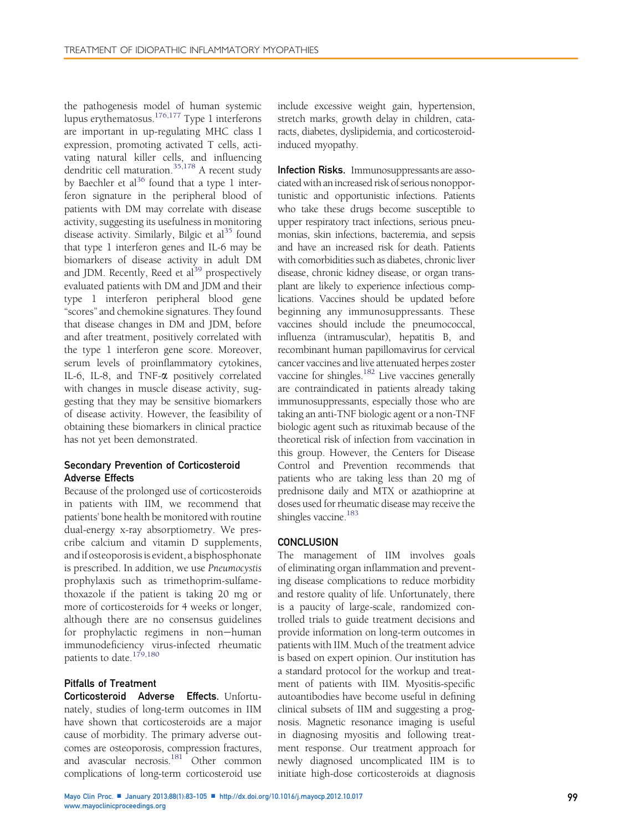the pathogenesis model of human systemic lupus erythematosus.[176,177](#page-22-0) Type 1 interferons are important in up-regulating MHC class I expression, promoting activated T cells, activating natural killer cells, and influencing dendritic cell maturation.[35,178](#page-18-0) A recent study by Baechler et al<sup>36</sup> found that a type 1 interferon signature in the peripheral blood of patients with DM may correlate with disease activity, suggesting its usefulness in monitoring disease activity. Similarly, Bilgic et  $al<sup>35</sup>$  $al<sup>35</sup>$  $al<sup>35</sup>$  found that type 1 interferon genes and IL-6 may be biomarkers of disease activity in adult DM and JDM. Recently, Reed et al<sup>39</sup> prospectively evaluated patients with DM and JDM and their type 1 interferon peripheral blood gene "scores" and chemokine signatures. They found that disease changes in DM and JDM, before and after treatment, positively correlated with the type 1 interferon gene score. Moreover, serum levels of proinflammatory cytokines, IL-6, IL-8, and TNF-a positively correlated with changes in muscle disease activity, suggesting that they may be sensitive biomarkers of disease activity. However, the feasibility of obtaining these biomarkers in clinical practice has not yet been demonstrated.

# Secondary Prevention of Corticosteroid Adverse Effects

Because of the prolonged use of corticosteroids in patients with IIM, we recommend that patients' bone health be monitored with routine dual-energy x-ray absorptiometry. We prescribe calcium and vitamin D supplements, and if osteoporosis is evident, a bisphosphonate is prescribed. In addition, we use Pneumocystis prophylaxis such as trimethoprim-sulfamethoxazole if the patient is taking 20 mg or more of corticosteroids for 4 weeks or longer, although there are no consensus guidelines for prophylactic regimens in non-human immunodeficiency virus-infected rheumatic patients to date.<sup>[179,180](#page-22-0)</sup>

# Pitfalls of Treatment

Corticosteroid Adverse Effects. Unfortunately, studies of long-term outcomes in IIM have shown that corticosteroids are a major cause of morbidity. The primary adverse outcomes are osteoporosis, compression fractures, and avascular necrosis.<sup>181</sup> Other common complications of long-term corticosteroid use

include excessive weight gain, hypertension, stretch marks, growth delay in children, cataracts, diabetes, dyslipidemia, and corticosteroidinduced myopathy.

**Infection Risks.** Immunosuppressants are associated with an increased risk of serious nonopportunistic and opportunistic infections. Patients who take these drugs become susceptible to upper respiratory tract infections, serious pneumonias, skin infections, bacteremia, and sepsis and have an increased risk for death. Patients with comorbidities such as diabetes, chronic liver disease, chronic kidney disease, or organ transplant are likely to experience infectious complications. Vaccines should be updated before beginning any immunosuppressants. These vaccines should include the pneumococcal, influenza (intramuscular), hepatitis B, and recombinant human papillomavirus for cervical cancer vaccines and live attenuated herpes zoster vaccine for shingles.<sup>182</sup> Live vaccines generally are contraindicated in patients already taking immunosuppressants, especially those who are taking an anti-TNF biologic agent or a non-TNF biologic agent such as rituximab because of the theoretical risk of infection from vaccination in this group. However, the Centers for Disease Control and Prevention recommends that patients who are taking less than 20 mg of prednisone daily and MTX or azathioprine at doses used for rheumatic disease may receive the shingles vaccine.<sup>[183](#page-22-0)</sup>

# **CONCLUSION**

The management of IIM involves goals of eliminating organ inflammation and preventing disease complications to reduce morbidity and restore quality of life. Unfortunately, there is a paucity of large-scale, randomized controlled trials to guide treatment decisions and provide information on long-term outcomes in patients with IIM. Much of the treatment advice is based on expert opinion. Our institution has a standard protocol for the workup and treatment of patients with IIM. Myositis-specific autoantibodies have become useful in defining clinical subsets of IIM and suggesting a prognosis. Magnetic resonance imaging is useful in diagnosing myositis and following treatment response. Our treatment approach for newly diagnosed uncomplicated IIM is to initiate high-dose corticosteroids at diagnosis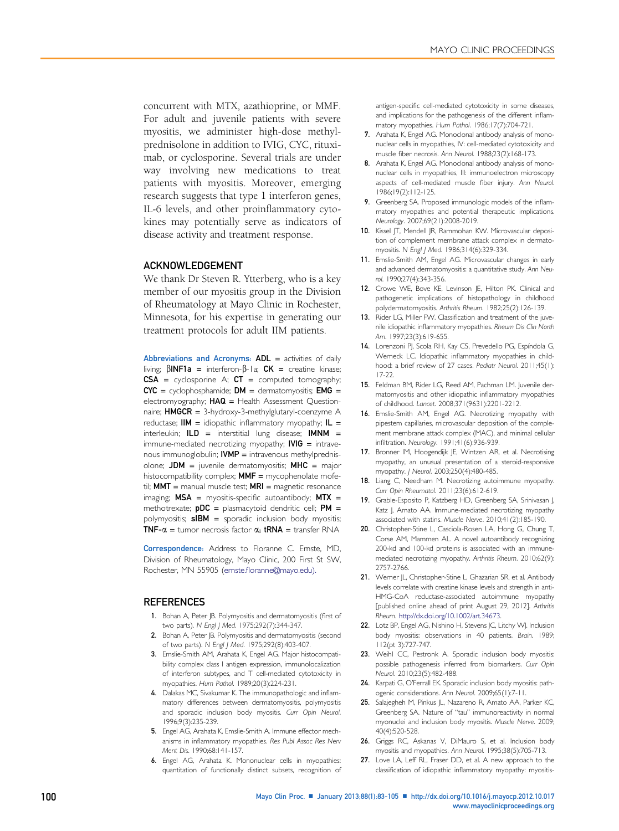<span id="page-17-0"></span>concurrent with MTX, azathioprine, or MMF. For adult and juvenile patients with severe myositis, we administer high-dose methylprednisolone in addition to IVIG, CYC, rituximab, or cyclosporine. Several trials are under way involving new medications to treat patients with myositis. Moreover, emerging research suggests that type 1 interferon genes, IL-6 levels, and other proinflammatory cytokines may potentially serve as indicators of disease activity and treatment response.

#### ACKNOWLEDGEMENT

We thank Dr Steven R. Ytterberg, who is a key member of our myositis group in the Division of Rheumatology at Mayo Clinic in Rochester, Minnesota, for his expertise in generating our treatment protocols for adult IIM patients.

Abbreviations and Acronyms: ADL = activities of daily living;  $\beta$ INF1a = interferon- $\beta$ -la; CK = creatine kinase;  $CSA = cyclosporine A$ ;  $CT = computed tomography$ ;  $CYC = cyclophosphamide; DM = dermatomyositis; EMG =$ electromyography;  $HAQ =$  Health Assessment Questionnaire;  $HMGCR = 3$ -hydroxy-3-methylglutaryl-coenzyme A reductase;  $\mathsf{HM} =$  idiopathic inflammatory myopathy;  $\mathsf{IL} =$ interleukin;  $ILD =$  interstitial lung disease;  $IMNM =$ immune-mediated necrotizing myopathy;  $IVIG =$  intravenous immunoglobulin;  $IVMP =$  intravenous methylprednisolone;  $JDM =$  juvenile dermatomyositis;  $MHC =$  major histocompatibility complex;  $MMF =$  mycophenolate mofetil;  $MMT$  = manual muscle test;  $MRI$  = magnetic resonance imaging;  $MSA =$  myositis-specific autoantibody;  $MTX =$ methotrexate;  $pDC =$  plasmacytoid dendritic cell;  $PM =$ polymyositis;  $sIBM =$  sporadic inclusion body myositis; **TNF-** $\alpha$  = tumor necrosis factor  $\alpha$ ; **tRNA** = transfer RNA

Correspondence: Address to Floranne C. Ernste, MD, Division of Rheumatology, Mayo Clinic, 200 First St SW, Rochester, MN 55905 (ernste.fl[oranne@mayo.edu\).](mailto:ernste.floranne@mayo.edu)

#### **REFERENCES**

- 1. Bohan A, Peter JB. Polymyositis and dermatomyositis (first of two parts). N Engl | Med. 1975;292(7):344-347.
- 2. Bohan A, Peter JB. Polymyositis and dermatomyositis (second of two parts). N Engl J Med. 1975;292(8):403-407.
- 3. Emslie-Smith AM, Arahata K, Engel AG. Major histocompatibility complex class I antigen expression, immunolocalization of interferon subtypes, and T cell-mediated cytotoxicity in myopathies. Hum Pathol. 1989;20(3):224-231.
- 4. Dalakas MC, Sivakumar K. The immunopathologic and inflammatory differences between dermatomyositis, polymyositis and sporadic inclusion body myositis. Curr Opin Neurol. 1996;9(3):235-239.
- 5. Engel AG, Arahata K, Emslie-Smith A. Immune effector mechanisms in inflammatory myopathies. Res Publ Assoc Res Nerv Ment Dis. 1990;68:141-157.
- 6. Engel AG, Arahata K. Mononuclear cells in myopathies: quantitation of functionally distinct subsets, recognition of

antigen-specific cell-mediated cytotoxicity in some diseases, and implications for the pathogenesis of the different inflammatory myopathies. Hum Pathol. 1986;17(7):704-721.

- 7. Arahata K, Engel AG. Monoclonal antibody analysis of mononuclear cells in myopathies, IV: cell-mediated cytotoxicity and muscle fiber necrosis. Ann Neurol. 1988;23(2):168-173.
- 8. Arahata K, Engel AG. Monoclonal antibody analysis of mononuclear cells in myopathies, III: immunoelectron microscopy aspects of cell-mediated muscle fiber injury. Ann Neurol. 1986;19(2):112-125.
- 9. Greenberg SA. Proposed immunologic models of the inflammatory myopathies and potential therapeutic implications. Neurology. 2007;69(21):2008-2019.
- 10. Kissel JT, Mendell JR, Rammohan KW. Microvascular deposition of complement membrane attack complex in dermatomyositis. N Engl J Med. 1986;314(6):329-334.
- 11. Emslie-Smith AM, Engel AG. Microvascular changes in early and advanced dermatomyositis: a quantitative study. Ann Neurol. 1990;27(4):343-356.
- 12. Crowe WE, Bove KE, Levinson JE, Hilton PK. Clinical and pathogenetic implications of histopathology in childhood polydermatomyositis. Arthritis Rheum. 1982;25(2):126-139.
- 13. Rider LG, Miller FW. Classification and treatment of the juvenile idiopathic inflammatory myopathies. Rheum Dis Clin North Am. 1997;23(3):619-655.
- 14. Lorenzoni PJ, Scola RH, Kay CS, Prevedello PG, Espíndola G, Werneck LC. Idiopathic inflammatory myopathies in childhood: a brief review of 27 cases. Pediatr Neurol. 2011;45(1): 17-22.
- 15. Feldman BM, Rider LG, Reed AM, Pachman LM. Juvenile dermatomyositis and other idiopathic inflammatory myopathies of childhood. Lancet. 2008;371(9631):2201-2212.
- 16. Emslie-Smith AM, Engel AG. Necrotizing myopathy with pipestem capillaries, microvascular deposition of the complement membrane attack complex (MAC), and minimal cellular infiltration. Neurology. 1991;41(6):936-939.
- 17. Bronner IM, Hoogendijk JE, Wintzen AR, et al. Necrotising myopathy, an unusual presentation of a steroid-responsive myopathy. J Neurol. 2003;250(4):480-485.
- 18. Liang C, Needham M. Necrotizing autoimmune myopathy. Curr Opin Rheumatol. 2011;23(6):612-619.
- 19. Grable-Esposito P, Katzberg HD, Greenberg SA, Srinivasan J, Katz J, Amato AA. Immune-mediated necrotizing myopathy associated with statins. Muscle Nerve. 2010;41(2):185-190.
- 20. Christopher-Stine L, Casciola-Rosen LA, Hong G, Chung T, Corse AM, Mammen AL. A novel autoantibody recognizing 200-kd and 100-kd proteins is associated with an immunemediated necrotizing myopathy. Arthritis Rheum. 2010;62(9): 2757-2766.
- 21. Werner JL, Christopher-Stine L, Ghazarian SR, et al. Antibody levels correlate with creatine kinase levels and strength in anti-HMG-CoA reductase-associated autoimmune myopathy [published online ahead of print August 29, 2012]. Arthritis Rheum. [http://dx.doi.org/10.1002/art.34673.](http://dx.doi.org/10.1002/art.34673)
- 22. Lotz BP, Engel AG, Nishino H, Stevens JC, Litchy WJ. Inclusion body myositis: observations in 40 patients. Brain. 1989; 112(pt 3):727-747.
- 23. Weihl CC, Pestronk A. Sporadic inclusion body myositis: possible pathogenesis inferred from biomarkers. Curr Opin Neurol. 2010;23(5):482-488.
- 24. Karpati G, O'Ferrall EK. Sporadic inclusion body myositis: pathogenic considerations. Ann Neurol. 2009;65(1):7-11.
- 25. Salajegheh M, Pinkus JL, Nazareno R, Amato AA, Parker KC, Greenberg SA. Nature of "tau" immunoreactivity in normal myonuclei and inclusion body myositis. Muscle Nerve. 2009; 40(4):520-528.
- 26. Griggs RC, Askanas V, DiMauro S, et al. Inclusion body myositis and myopathies. Ann Neurol. 1995;38(5):705-713.
- 27. Love LA, Leff RL, Fraser DD, et al. A new approach to the classification of idiopathic inflammatory myopathy: myositis-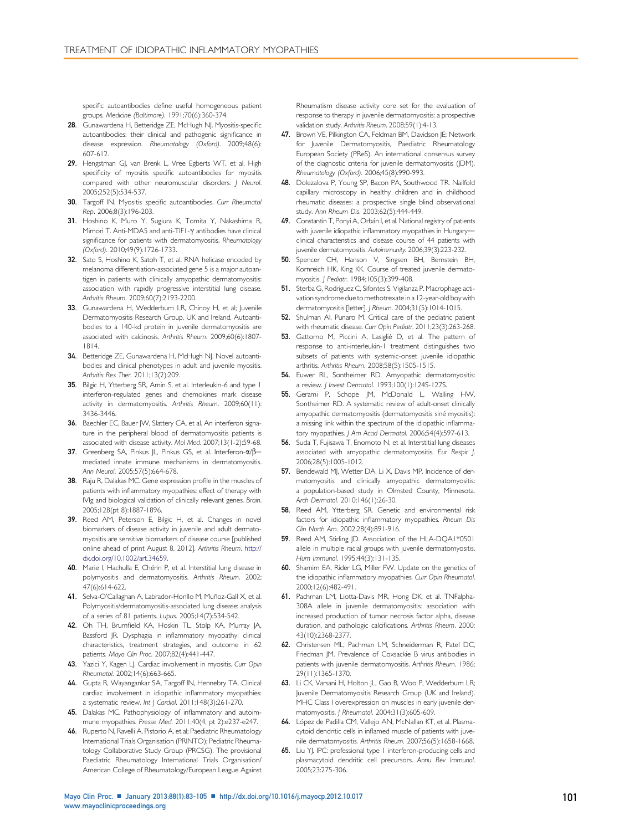<span id="page-18-0"></span>specific autoantibodies define useful homogeneous patient groups. Medicine (Baltimore). 1991;70(6):360-374.

- 28. Gunawardena H, Betteridge ZE, McHugh NJ. Myositis-specific autoantibodies: their clinical and pathogenic significance in disease expression. Rheumatology (Oxford). 2009;48(6): 607-612.
- 29. Hengstman GJ, van Brenk L, Vree Egberts WT, et al. High specificity of myositis specific autoantibodies for myositis compared with other neuromuscular disorders. J Neurol. 2005;252(5):534-537.
- 30. Targoff IN. Myositis specific autoantibodies. Curr Rheumatol Rep. 2006;8(3):196-203.
- 31. Hoshino K, Muro Y, Sugiura K, Tomita Y, Nakashima R, Mimori T. Anti-MDA5 and anti-TIF1- $\gamma$  antibodies have clinical significance for patients with dermatomyositis. Rheumatology (Oxford). 2010;49(9):1726-1733.
- 32. Sato S, Hoshino K, Satoh T, et al. RNA helicase encoded by melanoma differentiation-associated gene 5 is a major autoantigen in patients with clinically amyopathic dermatomyositis: association with rapidly progressive interstitial lung disease. Arthritis Rheum. 2009;60(7):2193-2200.
- 33. Gunawardena H, Wedderburn LR, Chinoy H, et al; Juvenile Dermatomyositis Research Group, UK and Ireland. Autoantibodies to a 140-kd protein in juvenile dermatomyositis are associated with calcinosis. Arthritis Rheum. 2009;60(6):1807- 1814.
- 34. Betteridge ZE, Gunawardena H, McHugh NJ. Novel autoantibodies and clinical phenotypes in adult and juvenile myositis. Arthritis Res Ther. 2011;13(2):209.
- 35. Bilgic H, Ytterberg SR, Amin S, et al. Interleukin-6 and type I interferon-regulated genes and chemokines mark disease activity in dermatomyositis. Arthritis Rheum. 2009;60(11): 3436-3446.
- 36. Baechler EC, Bauer JW, Slattery CA, et al. An interferon signature in the peripheral blood of dermatomyositis patients is associated with disease activity. Mol Med. 2007;13(1-2):59-68.
- 37. Greenberg SA, Pinkus JL, Pinkus GS, et al. Interferon- $\alpha/\beta$ mediated innate immune mechanisms in dermatomyositis. Ann Neurol. 2005;57(5):664-678.
- 38. Raju R, Dalakas MC. Gene expression profile in the muscles of patients with inflammatory myopathies: effect of therapy with IVIg and biological validation of clinically relevant genes. Brain. 2005;128(pt 8):1887-1896.
- 39. Reed AM, Peterson E, Bilgic H, et al. Changes in novel biomarkers of disease activity in juvenile and adult dermatomyositis are sensitive biomarkers of disease course [published online ahead of print August 8, 2012]. Arthritis Rheum. [http://](http://dx.doi.org/10.1002/art.34659) [dx.doi.org/10.1002/art.34659](http://dx.doi.org/10.1002/art.34659).
- 40. Marie I, Hachulla E, Chérin P, et al. Interstitial lung disease in polymyositis and dermatomyositis. Arthritis Rheum. 2002; 47(6):614-622.
- 41. Selva-O'Callaghan A, Labrador-Horillo M, Muñoz-Gall X, et al. Polymyositis/dermatomyositis-associated lung disease: analysis of a series of 81 patients. Lupus. 2005;14(7):534-542.
- 42. Oh TH, Brumfield KA, Hoskin TL, Stolp KA, Murray JA, Bassford JR. Dysphagia in inflammatory myopathy: clinical characteristics, treatment strategies, and outcome in 62 patients. Mayo Clin Proc. 2007;82(4):441-447.
- 43. Yazici Y, Kagen LJ. Cardiac involvement in myositis. Curr Opin Rheumatol. 2002;14(6):663-665.
- 44. Gupta R, Wayangankar SA, Targoff IN, Hennebry TA. Clinical cardiac involvement in idiopathic inflammatory myopathies: a systematic review. Int J Cardiol. 2011;148(3):261-270.
- 45. Dalakas MC. Pathophysiology of inflammatory and autoimmune myopathies. Presse Med. 2011;40(4, pt 2):e237-e247.
- 46. Ruperto N, Ravelli A, Pistorio A, et al; Paediatric Rheumatology International Trials Organisation (PRINTO); Pediatric Rheumatology Collaborative Study Group (PRCSG). The provisional Paediatric Rheumatology International Trials Organisation/ American College of Rheumatology/European League Against

Rheumatism disease activity core set for the evaluation of response to therapy in juvenile dermatomyositis: a prospective validation study. Arthritis Rheum. 2008;59(1):4-13.

- 47. Brown VE, Pilkington CA, Feldman BM, Davidson JE; Network for Juvenile Dermatomyositis, Paediatric Rheumatology European Society (PReS). An international consensus survey of the diagnostic criteria for juvenile dermatomyositis (JDM). Rheumatology (Oxford). 2006;45(8):990-993.
- 48. Dolezalova P, Young SP, Bacon PA, Southwood TR. Nailfold capillary microscopy in healthy children and in childhood rheumatic diseases: a prospective single blind observational study. Ann Rheum Dis. 2003;62(5):444-449.
- 49. Constantin T, Ponyi A, Orbán I, et al. National registry of patients with juvenile idiopathic inflammatory myopathies in Hungaryclinical characteristics and disease course of 44 patients with juvenile dermatomyositis. Autoimmunity. 2006;39(3):223-232.
- 50. Spencer CH, Hanson V, Singsen BH, Bernstein BH, Kornreich HK, King KK. Course of treated juvenile dermatomyositis. J Pediatr. 1984;105(3):399-408.
- 51. Sterba G, Rodriguez C, Sifontes S, Vigilanza P. Macrophage activation syndrome due to methotrexate in a 12-year-old boy with dermatomyositis [letter]. J Rheum. 2004;31(5):1014-1015.
- 52. Shulman AI, Punaro M. Critical care of the pediatric patient with rheumatic disease. Curr Opin Pediatr. 2011;23(3):263-268.
- 53. Gattorno M, Piccini A, Lasigliè D, et al. The pattern of response to anti-interleukin-1 treatment distinguishes two subsets of patients with systemic-onset juvenile idiopathic arthritis. Arthritis Rheum. 2008;58(5):1505-1515.
- 54. Euwer RL, Sontheimer RD. Amyopathic dermatomyositis: a review. J Invest Dermatol. 1993;100(1):124S-127S.
- 55. Gerami P, Schope JM, McDonald L, Walling HW, Sontheimer RD. A systematic review of adult-onset clinically amyopathic dermatomyositis (dermatomyositis siné myositis): a missing link within the spectrum of the idiopathic inflammatory myopathies. J Am Acad Dermatol. 2006;54(4):597-613.
- 56. Suda T, Fujisawa T, Enomoto N, et al. Interstitial lung diseases associated with amyopathic dermatomyositis. Eur Respir J. 2006;28(5):1005-1012.
- 57. Bendewald MJ, Wetter DA, Li X, Davis MP. Incidence of dermatomyositis and clinically amyopathic dermatomyositis: a population-based study in Olmsted County, Minnesota. Arch Dermatol. 2010;146(1):26-30.
- 58. Reed AM, Ytterberg SR. Genetic and environmental risk factors for idiopathic inflammatory myopathies. Rheum Dis Clin North Am. 2002;28(4):891-916.
- 59. Reed AM, Stirling JD. Association of the HLA-DQA1\*0501 allele in multiple racial groups with juvenile dermatomyositis. Hum Immunol. 1995;44(3):131-135.
- 60. Shamim EA, Rider LG, Miller FW. Update on the genetics of the idiopathic inflammatory myopathies. Curr Opin Rheumatol. 2000;12(6):482-491.
- 61. Pachman LM, Liotta-Davis MR, Hong DK, et al. TNFalpha-308A allele in juvenile dermatomyositis: association with increased production of tumor necrosis factor alpha, disease duration, and pathologic calcifications. Arthritis Rheum. 2000; 43(10):2368-2377.
- 62. Christensen ML, Pachman LM, Schneiderman R, Patel DC, Friedman JM. Prevalence of Coxsackie B virus antibodies in patients with juvenile dermatomyositis. Arthritis Rheum. 1986; 29(11):1365-1370.
- 63. Li CK, Varsani H, Holton JL, Gao B, Woo P, Wedderburn LR; Juvenile Dermatomyositis Research Group (UK and Ireland). MHC Class I overexpression on muscles in early juvenile dermatomyositis. J Rheumatol. 2004;31(3):605-609.
- 64. López de Padilla CM, Vallejo AN, McNallan KT, et al. Plasmacytoid dendritic cells in inflamed muscle of patients with juvenile dermatomyositis. Arthritis Rheum. 2007;56(5):1658-1668.
- 65. Liu YJ. IPC: professional type 1 interferon-producing cells and plasmacytoid dendritic cell precursors. Annu Rev Immunol. 2005;23:275-306.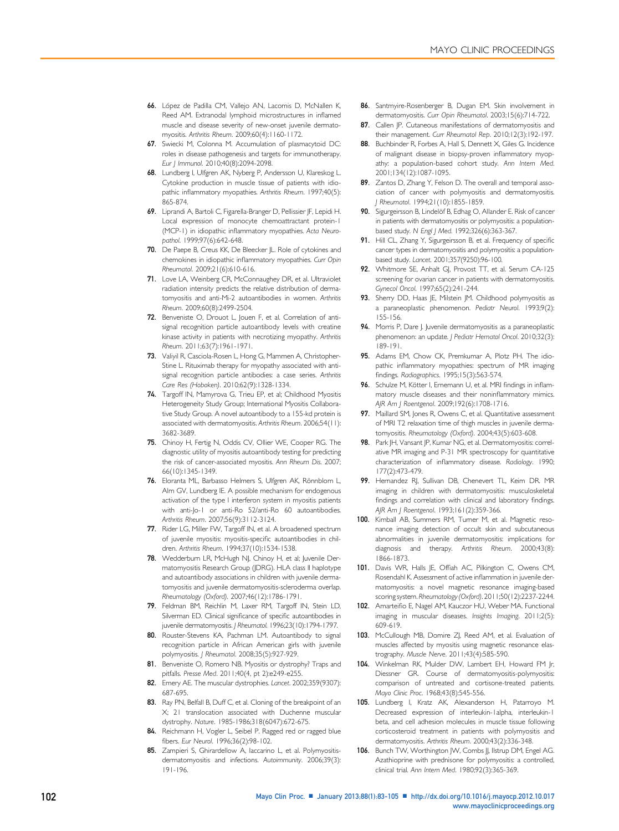- <span id="page-19-0"></span>66. López de Padilla CM, Vallejo AN, Lacomis D, McNallen K, Reed AM. Extranodal lymphoid microstructures in inflamed muscle and disease severity of new-onset juvenile dermatomyositis. Arthritis Rheum. 2009;60(4):1160-1172.
- 67. Swiecki M, Colonna M. Accumulation of plasmacytoid DC: roles in disease pathogenesis and targets for immunotherapy. Eur J Immunol. 2010;40(8):2094-2098.
- 68. Lundberg I, Ulfgren AK, Nyberg P, Andersson U, Klareskog L. Cytokine production in muscle tissue of patients with idiopathic inflammatory myopathies. Arthritis Rheum. 1997;40(5): 865-874.
- 69. Liprandi A, Bartoli C, Figarella-Branger D, Pellissier JF, Lepidi H. Local expression of monocyte chemoattractant protein-1 (MCP-1) in idiopathic inflammatory myopathies. Acta Neuropathol. 1999;97(6):642-648.
- 70. De Paepe B, Creus KK, De Bleecker II. Role of cytokines and chemokines in idiopathic inflammatory myopathies. Curr Opin Rheumatol. 2009;21(6):610-616.
- 71. Love LA, Weinberg CR, McConnaughey DR, et al. Ultraviolet radiation intensity predicts the relative distribution of dermatomyositis and anti-Mi-2 autoantibodies in women. Arthritis Rheum. 2009;60(8):2499-2504.
- 72. Benveniste O, Drouot L, Jouen F, et al. Correlation of antisignal recognition particle autoantibody levels with creatine kinase activity in patients with necrotizing myopathy. Arthritis Rheum. 2011;63(7):1961-1971.
- 73. Valiyil R, Casciola-Rosen L, Hong G, Mammen A, Christopher-Stine L. Rituximab therapy for myopathy associated with antisignal recognition particle antibodies: a case series. Arthritis Care Res (Hoboken). 2010;62(9):1328-1334.
- 74. Targoff IN, Mamyrova G, Trieu EP, et al; Childhood Myositis Heterogeneity Study Group; International Myositis Collaborative Study Group. A novel autoantibody to a 155-kd protein is associated with dermatomyositis. Arthritis Rheum. 2006;54(11): 3682-3689.
- 75. Chinoy H, Fertig N, Oddis CV, Ollier WE, Cooper RG. The diagnostic utility of myositis autoantibody testing for predicting the risk of cancer-associated myositis. Ann Rheum Dis. 2007; 66(10):1345-1349.
- 76. Eloranta ML, Barbasso Helmers S, Ulfgren AK, Rönnblom L, Alm GV, Lundberg IE. A possible mechanism for endogenous activation of the type I interferon system in myositis patients with anti-Jo-1 or anti-Ro 52/anti-Ro 60 autoantibodies. Arthritis Rheum. 2007;56(9):3112-3124.
- 77. Rider LG, Miller FW, Targoff IN, et al. A broadened spectrum of juvenile myositis: myositis-specific autoantibodies in children. Arthritis Rheum. 1994;37(10):1534-1538.
- 78. Wedderburn LR, McHugh NJ, Chinoy H, et al; Juvenile Dermatomyositis Research Group (JDRG). HLA class II haplotype and autoantibody associations in children with juvenile dermatomyositis and juvenile dermatomyositis-scleroderma overlap. Rheumatology (Oxford). 2007;46(12):1786-1791.
- 79. Feldman BM, Reichlin M, Laxer RM, Targoff IN, Stein LD, Silverman ED. Clinical significance of specific autoantibodies in juvenile dermatomyositis. | Rheumatol. 1996;23(10):1794-1797.
- 80. Rouster-Stevens KA, Pachman LM. Autoantibody to signal recognition particle in African American girls with juvenile polymyositis. J Rheumatol. 2008;35(5):927-929.
- 81. Benveniste O, Romero NB. Myositis or dystrophy? Traps and pitfalls. Presse Med. 2011;40(4, pt 2):e249-e255.
- 82. Emery AE. The muscular dystrophies. Lancet. 2002;359(9307): 687-695.
- 83. Ray PN, Belfall B, Duff C, et al. Cloning of the breakpoint of an X; 21 translocation associated with Duchenne muscular dystrophy. Nature. 1985-1986;318(6047):672-675.
- 84. Reichmann H, Vogler L, Seibel P. Ragged red or ragged blue fibers. Eur Neurol. 1996;36(2):98-102.
- 85. Zampieri S, Ghirardellow A, laccarino L, et al. Polymyositisdermatomyositis and infections. Autoimmunity. 2006;39(3): 191-196.
- 86. Santmyire-Rosenberger B, Dugan EM. Skin involvement in dermatomyositis. Curr Opin Rheumatol. 2003;15(6):714-722.
- 87. Callen JP. Cutaneous manifestations of dermatomyositis and their management. Curr Rheumatol Rep. 2010;12(3):192-197.
- 88. Buchbinder R, Forbes A, Hall S, Dennett X, Giles G. Incidence of malignant disease in biopsy-proven inflammatory myopathy: a population-based cohort study. Ann Intern Med. 2001;134(12):1087-1095.
- 89. Zantos D, Zhang Y, Felson D. The overall and temporal association of cancer with polymyositis and dermatomyositis. J Rheumatol. 1994;21(10):1855-1859.
- 90. Sigurgeirsson B, Lindelöf B, Edhag O, Allander E. Risk of cancer in patients with dermatomyositis or polymyositis: a populationbased study. N Engl J Med. 1992;326(6):363-367.
- 91. Hill CL, Zhang Y, Sigurgeirsson B, et al. Frequency of specific cancer types in dermatomyositis and polymyositis: a populationbased study. Lancet. 2001;357(9250):96-100.
- 92. Whitmore SE, Anhalt GJ, Provost TT, et al. Serum CA-125 screening for ovarian cancer in patients with dermatomyositis. Gynecol Oncol. 1997;65(2):241-244.
- 93. Sherry DD, Haas JE, Milstein JM. Childhood polymyositis as a paraneoplastic phenomenon. Pediatr Neurol. 1993;9(2): 155-156.
- 94. Morris P, Dare J. Juvenile dermatomyositis as a paraneoplastic phenomenon: an update. | Pediatr Hematol Oncol. 2010;32(3): 189-191.
- 95. Adams EM, Chow CK, Premkumar A, Plotz PH. The idiopathic inflammatory myopathies: spectrum of MR imaging findings. Radiographics. 1995;15(3):563-574.
- 96. Schulze M, Kötter I, Ernemann U, et al. MRI findings in inflammatory muscle diseases and their noninflammatory mimics. AJR Am J Roentgenol. 2009;192(6):1708-1716.
- 97. Maillard SM, Jones R, Owens C, et al. Quantitative assessment of MRI T2 relaxation time of thigh muscles in juvenile dermatomyositis. Rheumatology (Oxford). 2004;43(5):603-608.
- 98. Park JH, Vansant JP, Kumar NG, et al. Dermatomyositis: correlative MR imaging and P-31 MR spectroscopy for quantitative characterization of inflammatory disease. Radiology. 1990; 177(2):473-479.
- 99. Hernandez RJ, Sullivan DB, Chenevert TL, Keim DR. MR imaging in children with dermatomyositis: musculoskeletal findings and correlation with clinical and laboratory findings. AJR Am J Roentgenol. 1993;161(2):359-366.
- 100. Kimball AB, Summers RM, Turner M, et al. Magnetic resonance imaging detection of occult skin and subcutaneous abnormalities in juvenile dermatomyositis: implications for diagnosis and therapy. Arthritis Rheum. 2000;43(8): 1866-1873.
- 101. Davis WR, Halls JE, Offiah AC, Pilkington C, Owens CM, Rosendahl K. Assessment of active inflammation in juvenile dermatomyositis: a novel magnetic resonance imaging-based scoring system. Rheumatology(Oxford). 2011;50(12):2237-2244.
- 102. Amarteifio E, Nagel AM, Kauczor HU, Weber MA. Functional imaging in muscular diseases. Insights Imaging. 2011;2(5): 609-619.
- 103. McCullough MB, Domire ZJ, Reed AM, et al. Evaluation of muscles affected by myositis using magnetic resonance elastrography. Muscle Nerve. 2011;43(4):585-590.
- 104. Winkelman RK, Mulder DW, Lambert EH, Howard FM Jr, Diessner GR. Course of dermatomyositis-polymyositis: comparison of untreated and cortisone-treated patients. Mayo Clinic Proc. 1968;43(8):545-556.
- 105. Lundberg I, Kratz AK, Alexanderson H, Patarroyo M. Decreased expression of interleukin-1alpha, interleukin-1 beta, and cell adhesion molecules in muscle tissue following corticosteroid treatment in patients with polymyositis and dermatomyositis. Arthritis Rheum. 2000;43(2):336-348.
- 106. Bunch TW, Worthington JW, Combs JJ, Ilstrup DM, Engel AG. Azathioprine with prednisone for polymyositis: a controlled, clinical trial. Ann Intern Med. 1980;92(3):365-369.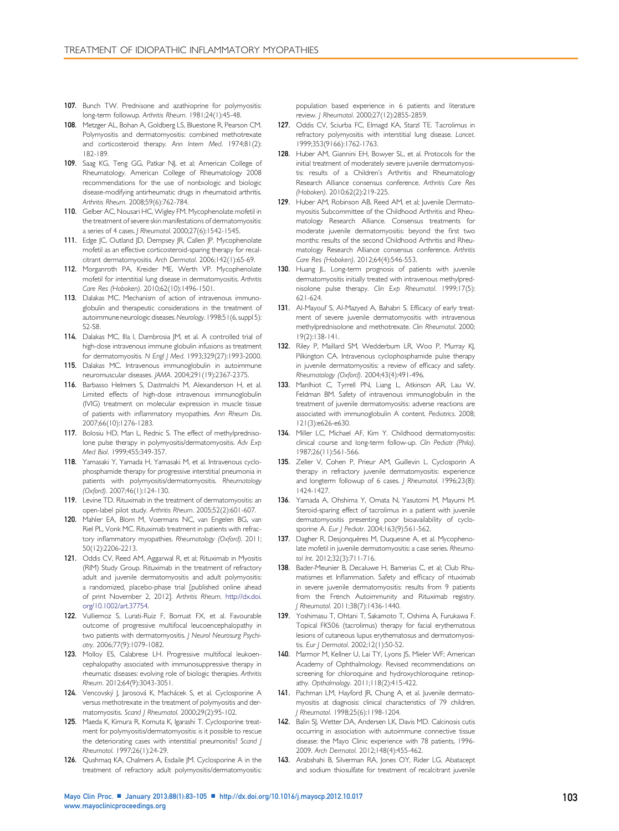- <span id="page-20-0"></span>107. Bunch TW. Prednisone and azathioprine for polymyositis: long-term followup. Arthritis Rheum. 1981;24(1):45-48.
- 108. Metzger AL, Bohan A, Goldberg LS, Bluestone R, Pearson CM. Polymyositis and dermatomyositis: combined methotrexate and corticosteroid therapy. Ann Intern Med. 1974;81(2): 182-189.
- 109. Saag KG, Teng GG, Patkar NJ, et al; American College of Rheumatology. American College of Rheumatology 2008 recommendations for the use of nonbiologic and biologic disease-modifying antirheumatic drugs in rheumatoid arthritis. Arthritis Rheum. 2008;59(6):762-784.
- 110. Gelber AC, Nousari HC, Wigley FM. Mycophenolate mofetil in the treatment of severe skin manifestations of dermatomyositis: a series of 4 cases. J Rheumatol. 2000;27(6):1542-1545.
- 111. Edge JC, Outland JD, Dempsey JR, Callen JP. Mycophenolate mofetil as an effective corticosteroid-sparing therapy for recalcitrant dermatomyositis. Arch Dermatol. 2006;142(1):65-69.
- 112. Morganroth PA, Kreider ME, Werth VP. Mycophenolate mofetil for interstitial lung disease in dermatomyositis. Arthritis Care Res (Hoboken). 2010;62(10):1496-1501.
- 113. Dalakas MC. Mechanism of action of intravenous immunoglobulin and therapeutic considerations in the treatment of autoimmune neurologic diseases.Neurology. 1998;51(6, suppl 5): S2-S8.
- 114. Dalakas MC, Illa I, Dambrosia JM, et al. A controlled trial of high-dose intravenous immune globulin infusions as treatment for dermatomyositis. N Engl J Med. 1993;329(27):1993-2000.
- 115. Dalakas MC. Intravenous immunoglobulin in autoimmune neuromuscular diseases. JAMA. 2004;291(19):2367-2375.
- 116. Barbasso Helmers S, Dastmalchi M, Alexanderson H, et al. Limited effects of high-dose intravenous immunoglobulin (IVIG) treatment on molecular expression in muscle tissue of patients with inflammatory myopathies. Ann Rheum Dis. 2007;66(10):1276-1283.
- 117. Bolosiu HD, Man L, Rednic S. The effect of methylprednisolone pulse therapy in polymyositis/dermatomyositis. Adv Exp Med Biol. 1999;455:349-357.
- 118. Yamasaki Y, Yamada H, Yamasaki M, et al. Intravenous cyclophosphamide therapy for progressive interstitial pneumonia in patients with polymyositis/dermatomyositis. Rheumatology (Oxford). 2007;46(1):124-130.
- 119. Levine TD. Rituximab in the treatment of dermatomyositis: an open-label pilot study. Arthritis Rheum. 2005;52(2):601-607.
- 120. Mahler EA, Blom M, Voermans NC, van Engelen BG, van Riel PL, Vonk MC. Rituximab treatment in patients with refractory inflammatory myopathies. Rheumatology (Oxford). 2011; 50(12):2206-2213.
- 121. Oddis CV, Reed AM, Aggarwal R, et al; Rituximab in Myositis (RIM) Study Group. Rituximab in the treatment of refractory adult and juvenile dermatomyositis and adult polymyositis: a randomized, placebo-phase trial [published online ahead of print November 2, 2012]. Arthritis Rheum. [http://dx.doi.](http://dx.doi.org/10.1002/art.37754) [org/10.1002/art.37754.](http://dx.doi.org/10.1002/art.37754)
- 122. Vulliemoz S, Lurati-Ruiz F, Borruat FX, et al. Favourable outcome of progressive multifocal leucoencephalopathy in two patients with dermatomyositis. J Neurol Neurosurg Psychiatry. 2006;77(9):1079-1082.
- 123. Molloy ES, Calabrese LH. Progressive multifocal leukoencephalopathy associated with immunosuppressive therapy in rheumatic diseases: evolving role of biologic therapies. Arthritis Rheum. 2012;64(9):3043-3051.
- 124. Vencovský J, Jarosová K, Machácek S, et al. Cyclosporine A versus methotrexate in the treatment of polymyositis and dermatomyositis. Scand J Rheumatol. 2000;29(2):95-102.
- 125. Maeda K, Kimura R, Komuta K, Igarashi T. Cyclosporine treatment for polymyositis/dermatomyositis: is it possible to rescue the deteriorating cases with interstitial pneumonitis? Scand | Rheumatol. 1997;26(1):24-29.
- 126. Qushmaq KA, Chalmers A, Esdaile JM. Cyclosporine A in the treatment of refractory adult polymyositis/dermatomyositis:

population based experience in 6 patients and literature review. J Rheumatol. 2000;27(12):2855-2859.

- 127. Oddis CV, Sciurba FC, Elmagd KA, Starzl TE. Tacrolimus in refractory polymyositis with interstitial lung disease. Lancet. 1999;353(9166):1762-1763.
- 128. Huber AM, Giannini EH, Bowyer SL, et al. Protocols for the initial treatment of moderately severe juvenile dermatomyositis: results of a Children's Arthritis and Rheumatology Research Alliance consensus conference. Arthritis Care Res (Hoboken). 2010;62(2):219-225.
- 129. Huber AM, Robinson AB, Reed AM, et al; Juvenile Dermatomyositis Subcommittee of the Childhood Arthritis and Rheumatology Research Alliance. Consensus treatments for moderate juvenile dermatomyositis: beyond the first two months: results of the second Childhood Arthritis and Rheumatology Research Alliance consensus conference. Arthritis Care Res (Hoboken). 2012;64(4):546-553.
- 130. Huang JL. Long-term prognosis of patients with juvenile dermatomyositis initially treated with intravenous methylprednisolone pulse therapy. Clin Exp Rheumatol. 1999;17(5): 621-624.
- 131. Al-Mayouf S, Al-Mazyed A, Bahabri S. Efficacy of early treatment of severe juvenile dermatomyositis with intravenous methylprednisolone and methotrexate. Clin Rheumatol. 2000; 19(2):138-141.
- 132. Riley P, Maillard SM, Wedderburn LR, Woo P, Murray KJ, Pilkington CA. Intravenous cyclophosphamide pulse therapy in juvenile dermatomyositis: a review of efficacy and safety. Rheumatology (Oxford). 2004;43(4):491-496.
- 133. Manlhiot C, Tyrrell PN, Liang L, Atkinson AR, Lau W, Feldman BM. Safety of intravenous immunoglobulin in the treatment of juvenile dermatomyositis: adverse reactions are associated with immunoglobulin A content. Pediatrics. 2008; 121(3):e626-e630.
- 134. Miller LC, Michael AF, Kim Y. Childhood dermatomyositis: clinical course and long-term follow-up. Clin Pediatr (Phila). 1987;26(11):561-566.
- 135. Zeller V, Cohen P, Prieur AM, Guillevin L. Cyclosporin A therapy in refractory juvenile dermatomyositis: experience and longterm followup of 6 cases. *J Rheumatol*. 1996;23(8): 1424-1427.
- 136. Yamada A, Ohshima Y, Omata N, Yasutomi M, Mayumi M. Steroid-sparing effect of tacrolimus in a patient with juvenile dermatomyositis presenting poor bioavailability of cyclosporine A. Eur J Pediatr. 2004;163(9):561-562.
- 137. Dagher R, Desjonquères M, Duquesne A, et al. Mycophenolate mofetil in juvenile dermatomyositis: a case series. Rheumatol Int. 2012;32(3):711-716.
- 138. Bader-Meunier B, Decaluwe H, Barnerias C, et al; Club Rhumatismes et Inflammation. Safety and efficacy of rituximab in severe juvenile dermatomyositis: results from 9 patients from the French Autoimmunity and Rituximab registry. J Rheumatol. 2011;38(7):1436-1440.
- 139. Yoshimasu T, Ohtani T, Sakamoto T, Oshima A, Furukawa F. Topical FK506 (tacrolimus) therapy for facial erythematous lesions of cutaneous lupus erythematosus and dermatomyositis. Eur | Dermatol. 2002;12(1):50-52.
- 140. Marmor M, Kellner U, Lai TY, Lyons JS, Mieler WF; American Academy of Ophthalmology. Revised recommendations on screening for chloroquine and hydroxychloroquine retinopathy. Opthalmology. 2011;118(2):415-422.
- 141. Pachman LM, Hayford JR, Chung A, et al. Juvenile dermatomyositis at diagnosis: clinical characteristics of 79 children. J Rheumatol. 1998;25(6):1198-1204.
- 142. Balin SJ, Wetter DA, Andersen LK, Davis MD. Calcinosis cutis occurring in association with autoimmune connective tissue disease: the Mayo Clinic experience with 78 patients, 1996- 2009. Arch Dermatol. 2012;148(4):455-462.
- 143. Arabshahi B, Silverman RA, Jones OY, Rider LG. Abatacept and sodium thiosulfate for treatment of recalcitrant juvenile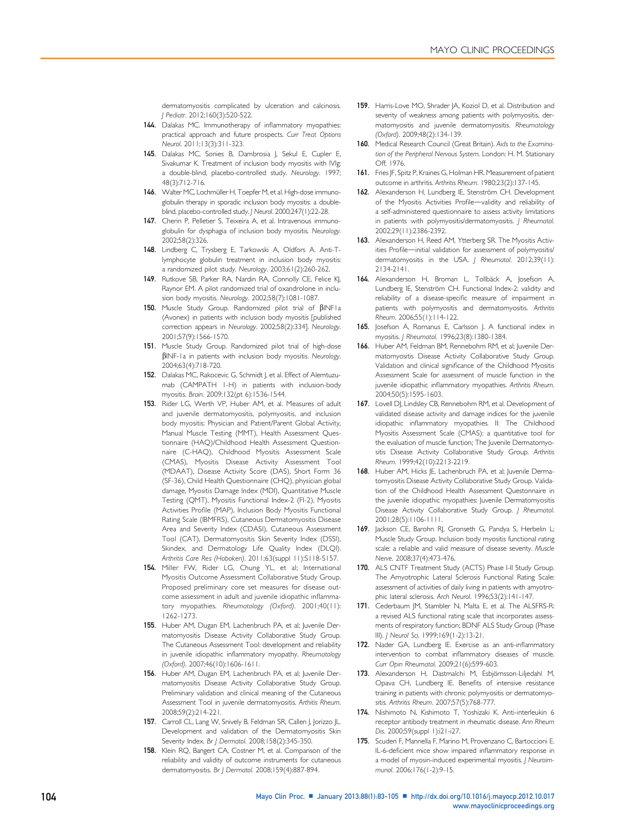dermatomyositis complicated by ulceration and calcinosis. J Pediatr. 2012;160(3):520-522.

- <span id="page-21-0"></span>144. Dalakas MC. Immunotherapy of inflammatory myopathies: practical approach and future prospects. Curr Treat Options Neurol. 2011;13(3):311-323.
- 145. Dalakas MC, Sonies B, Dambrosia J, Sekul E, Cupler E, Sivakumar K. Treatment of inclusion body myositis with IVIg: a double-blind, placebo-controlled study. Neurology. 1997; 48(3):712-716.
- 146. Walter MC, Lochmüller H, Toepfer M, et al. High-dose immunoglobulin therapy in sporadic inclusion body myositis: a doubleblind, placebo-controlled study. J Neurol. 2000;247(1):22-28.
- 147. Cherin P, Pelletier S, Teixeira A, et al. Intravenous immunoglobulin for dysphagia of inclusion body myositis. Neurology. 2002;58(2):326.
- 148. Lindberg C, Trysberg E, Tarkowski A, Oldfors A. Anti-Tlymphocyte globulin treatment in inclusion body myositis: a randomized pilot study. Neurology. 2003;61(2):260-262.
- 149. Rutkove SB, Parker RA, Nardin RA, Connolly CE, Felice KJ, Raynor EM. A pilot randomized trial of oxandrolone in inclusion body myositis. Neurology. 2002;58(7):1081-1087.
- 150. Muscle Study Group. Randomized pilot trial of  $\beta$ INF1a (Avonex) in patients with inclusion body myositis [published correction appears in Neurology. 2002;58(2):334]. Neurology. 2001;57(9):1566-1570.
- 151. Muscle Study Group. Randomized pilot trial of high-dose  $\beta$ INF-1a in patients with inclusion body myositis. Neurology. 2004;63(4):718-720.
- 152. Dalakas MC, Rakocevic G, Schmidt J, et al. Effect of Alemtuzumab (CAMPATH 1-H) in patients with inclusion-body myositis. Brain. 2009;132(pt 6):1536-1544.
- 153. Rider LG, Werth VP, Huber AM, et al. Measures of adult and juvenile dermatomyositis, polymyositis, and inclusion body myositis: Physician and Patient/Parent Global Activity, Manual Muscle Testing (MMT), Health Assessment Questionnaire (HAQ)/Childhood Health Assessment Questionnaire (C-HAQ), Childhood Myositis Assessment Scale (CMAS), Myositis Disease Activity Assessment Tool (MDAAT), Disease Activity Score (DAS), Short Form 36 (SF-36), Child Health Questionnaire (CHQ), physician global damage, Myositis Damage Index (MDI), Quantitative Muscle Testing (QMT), Myositis Functional Index-2 (FI-2), Myositis Activities Profile (MAP), Inclusion Body Myositis Functional Rating Scale (IBMFRS), Cutaneous Dermatomyositis Disease Area and Severity Index (CDASI), Cutaneous Assessment Tool (CAT), Dermatomyositis Skin Severity Index (DSSI), Skindex, and Dermatology Life Quality Index (DLQI). Arthritis Care Res (Hoboken). 2011;63(suppl 11):S118-S157.
- 154. Miller FW, Rider LG, Chung YL, et al; International Myositis Outcome Assessment Collaborative Study Group. Proposed preliminary core set measures for disease outcome assessment in adult and juvenile idiopathic inflammatory myopathies. Rheumatology (Oxford). 2001;40(11): 1262-1273.
- 155. Huber AM, Dugan EM, Lachenbruch PA, et al; Juvenile Dermatomyositis Disease Activity Collaborative Study Group. The Cutaneous Assessment Tool: development and reliability in juvenile idiopathic inflammatory myopathy. Rheumatology (Oxford). 2007;46(10):1606-1611.
- 156. Huber AM, Dugan EM, Lachenbruch PA, et al; Juvenile Dermatomyositis Disease Activity Collaborative Study Group. Preliminary validation and clinical meaning of the Cutaneous Assessment Tool in juvenile dermatomyositis. Arthitis Rheum. 2008;59(2):214-221.
- 157. Carroll CL, Lang W, Snively B, Feldman SR, Callen J, Jorizzo JL. Development and validation of the Dermatomyositis Skin Severity Index. Br J Dermatol. 2008;158(2):345-350.
- 158. Klein RQ, Bangert CA, Costner M, et al. Comparison of the reliability and validity of outcome instruments for cutaneous dermatomyositis. Br J Dermatol. 2008;159(4):887-894.
- 159. Harris-Love MO, Shrader JA, Koziol D, et al. Distribution and severity of weakness among patients with polymyositis, dermatomyositis and juvenile dermatomyositis. Rheumatology (Oxford). 2009;48(2):134-139.
- 160. Medical Research Council (Great Britain). Aids to the Examination of the Peripheral Nervous System. London: H. M. Stationary Off; 1976.
- 161. Fries JF, Spitz P, Kraines G, Holman HR. Measurement of patient outcome in arthritis. Arthritis Rheum. 1980;23(2):137-145.
- 162. Alexanderson H, Lundberg IE, Stenström CH. Development of the Myositis Activities Profile-validity and reliability of a self-administered questionnaire to assess activity limitations in patients with polymyositis/dermatomyositis. J Rheumatol. 2002;29(11):2386-2392.
- 163. Alexanderson H, Reed AM, Ytterberg SR. The Myositis Activities Profile-initial validation for assessment of polymyositis/ dermatomyositis in the USA. | Rheumatol. 2012;39(11): 2134-2141.
- 164. Alexanderson H, Broman L, Tollbäck A, Josefson A, Lundberg IE, Stenström CH. Functional Index-2: validity and reliability of a disease-specific measure of impairment in patients with polymyositis and dermatomyositis. Arthritis Rheum. 2006;55(1):114-122.
- Josefson A, Romanus E, Carlsson J. A functional index in myositis. J Rheumatol. 1996;23(8):1380-1384.
- 166. Huber AM, Feldman BM, Rennebohm RM, et al; Juvenile Dermatomyositis Disease Activity Collaborative Study Group. Validation and clinical significance of the Childhood Myositis Assessment Scale for assessment of muscle function in the juvenile idiopathic inflammatory myopathies. Arthritis Rheum. 2004;50(5):1595-1603.
- 167. Lovell DJ, Lindsley CB, Rennebohm RM, et al. Development of validated disease activity and damage indices for the juvenile idiopathic inflammatory myopathies. II: The Childhood Myositis Assessment Scale (CMAS): a quantitative tool for the evaluation of muscle function; The Juvenile Dermatomyositis Disease Activity Collaborative Study Group. Arthritis Rheum. 1999;42(10):2213-2219.
- 168. Huber AM, Hicks JE, Lachenbruch PA, et al; Juvenile Dermatomyositis Disease Activity Collaborative Study Group. Validation of the Childhood Health Assessment Questonnaire in the juvenile idiopathic myopathies: Juvenile Dermatomyositis Disease Activity Collaborative Study Group. J Rheumatol. 2001;28(5):1106-1111.
- 169. Jackson CE, Barohn RJ, Gronseth G, Pandya S, Herbelin L; Muscle Study Group. Inclusion body myositis functional rating scale: a reliable and valid measure of disease severity. Muscle Nerve. 2008;37(4):473-476.
- 170. ALS CNTF Treatment Study (ACTS) Phase I-II Study Group. The Amyotrophic Lateral Sclerosis Functional Rating Scale: assessment of activities of daily living in patients with amyotrophic lateral sclerosis. Arch Neurol. 1996;53(2):141-147.
- 171. Cederbaum JM, Stambler N, Malta E, et al. The ALSFRS-R: a revised ALS functional rating scale that incorporates assessments of respiratory function; BDNF ALS Study Group (Phase III). J Neurol Sci. 1999;169(1-2):13-21.
- 172. Nader GA, Lundberg IE. Exercise as an anti-inflammatory intervention to combat inflammatory diseases of muscle. Curr Opin Rheumatol. 2009;21(6):599-603.
- 173. Alexanderson H, Dastmalchi M, Esbjörnsson-Liljedahl M, Opava CH, Lundberg IE. Benefits of intensive resistance training in patients with chronic polymyositis or dermatomyositis. Arthritis Rheum. 2007;57(5):768-777.
- 174. Nishimoto N, Kishimoto T, Yoshizaki K. Anti-interleukin 6 receptor antibody treatment in rheumatic disease. Ann Rheum Dis. 2000;59(suppl 1):i21-i27.
- 175. Scuderi F, Mannella F, Marino M, Provenzano C, Bartoccioni E. IL-6-deficient mice show impaired inflammatory response in a model of myosin-induced experimental myositis. *I Neuroim*munol. 2006;176(1-2):9-15.